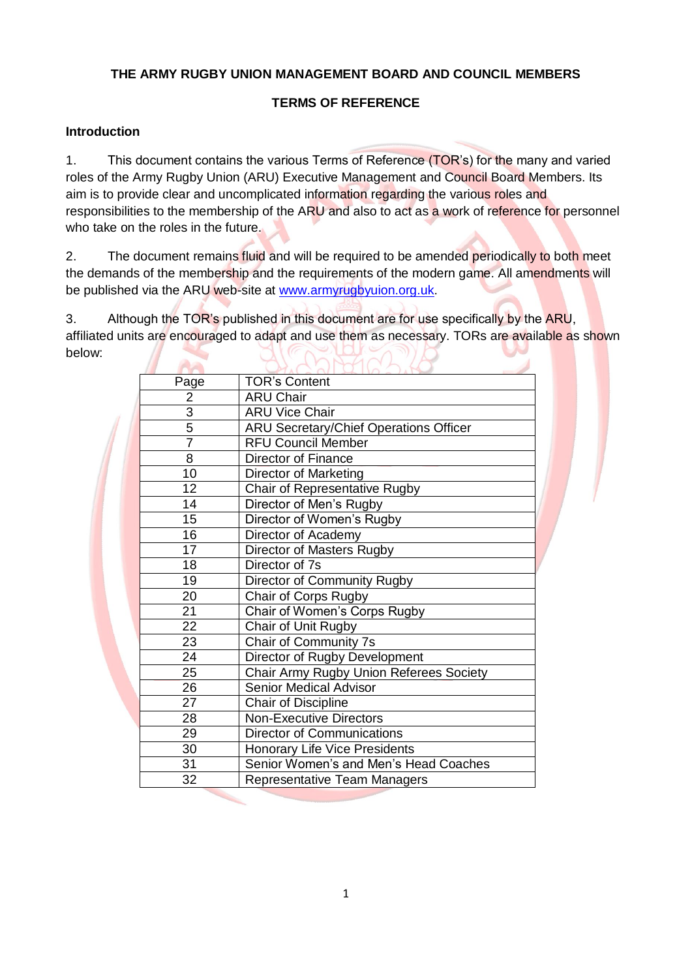## **THE ARMY RUGBY UNION MANAGEMENT BOARD AND COUNCIL MEMBERS**

### **TERMS OF REFERENCE**

### **Introduction**

1. This document contains the various Terms of Reference (TOR's) for the many and varied roles of the Army Rugby Union (ARU) Executive Management and Council Board Members. Its aim is to provide clear and uncomplicated information regarding the various roles and responsibilities to the membership of the ARU and also to act as a work of reference for personnel who take on the roles in the future.

2. The document remains fluid and will be required to be amended periodically to both meet the demands of the membership and the requirements of the modern game. All amendments will be published via the ARU web-site at [www.armyrugbyuion.org.uk.](http://www.armyrugbyuion.org.uk/)

3. Although the TOR's published in this document are for use specifically by the ARU, affiliated units are encouraged to adapt and use them as necessary. TORs are available as shown below:  $\leftarrow$  $\sum$  $\eta$  ( )

| Page           | <b>TOR's Content</b>                          |
|----------------|-----------------------------------------------|
| 2              | <b>ARU Chair</b>                              |
| $\overline{3}$ | <b>ARU Vice Chair</b>                         |
| 5              | <b>ARU Secretary/Chief Operations Officer</b> |
| $\overline{7}$ | <b>RFU Council Member</b>                     |
| 8              | <b>Director of Finance</b>                    |
| 10             | <b>Director of Marketing</b>                  |
| 12             | Chair of Representative Rugby                 |
| 14             | Director of Men's Rugby                       |
| 15             | Director of Women's Rugby                     |
| 16             | Director of Academy                           |
| 17             | Director of Masters Rugby                     |
| 18             | Director of 7s                                |
| 19             | <b>Director of Community Rugby</b>            |
| 20             | Chair of Corps Rugby                          |
| 21             | Chair of Women's Corps Rugby                  |
| 22             | Chair of Unit Rugby                           |
| 23             | Chair of Community 7s                         |
| 24             | Director of Rugby Development                 |
| 25             | Chair Army Rugby Union Referees Society       |
| 26             | <b>Senior Medical Advisor</b>                 |
| 27             | Chair of Discipline                           |
| 28             | <b>Non-Executive Directors</b>                |
| 29             | <b>Director of Communications</b>             |
| 30             | <b>Honorary Life Vice Presidents</b>          |
| 31             | Senior Women's and Men's Head Coaches         |
| 32             | <b>Representative Team Managers</b>           |
|                |                                               |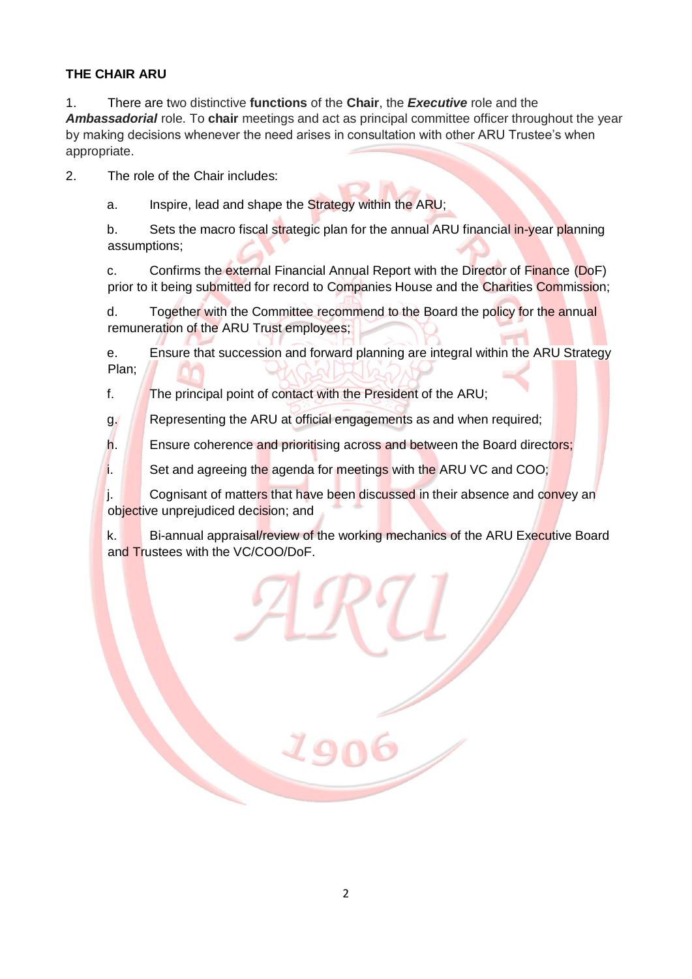## **THE CHAIR ARU**

1. There are two distinctive **functions** of the **Chair**, the *Executive* role and the *Ambassadorial* role. To **chair** meetings and act as principal committee officer throughout the year by making decisions whenever the need arises in consultation with other ARU Trustee's when appropriate.

2. The role of the Chair includes:

a. Inspire, lead and shape the Strategy within the ARU;

b. Sets the macro fiscal strategic plan for the annual ARU financial in-year planning assumptions;

c. Confirms the external Financial Annual Report with the Director of Finance (DoF) prior to it being submitted for record to Companies House and the Charities Commission;

d. Together with the Committee recommend to the Board the policy for the annual remuneration of the ARU Trust employees;

e. Ensure that succession and forward planning are integral within the ARU Strategy Plan;

f. The principal point of contact with the President of the ARU;

g. **Representing the ARU at official engagements as and when required;** 

h. **Ensure coherence and prioritising across and between the Board directors;** 

i. Set and agreeing the agenda for meetings with the ARU VC and COO;

j. Cognisant of matters that have been discussed in their absence and convey an objective unprejudiced decision; and

k. Bi-annual appraisal/review of the working mechanics of the ARU Executive Board and Trustees with the VC/COO/DoF.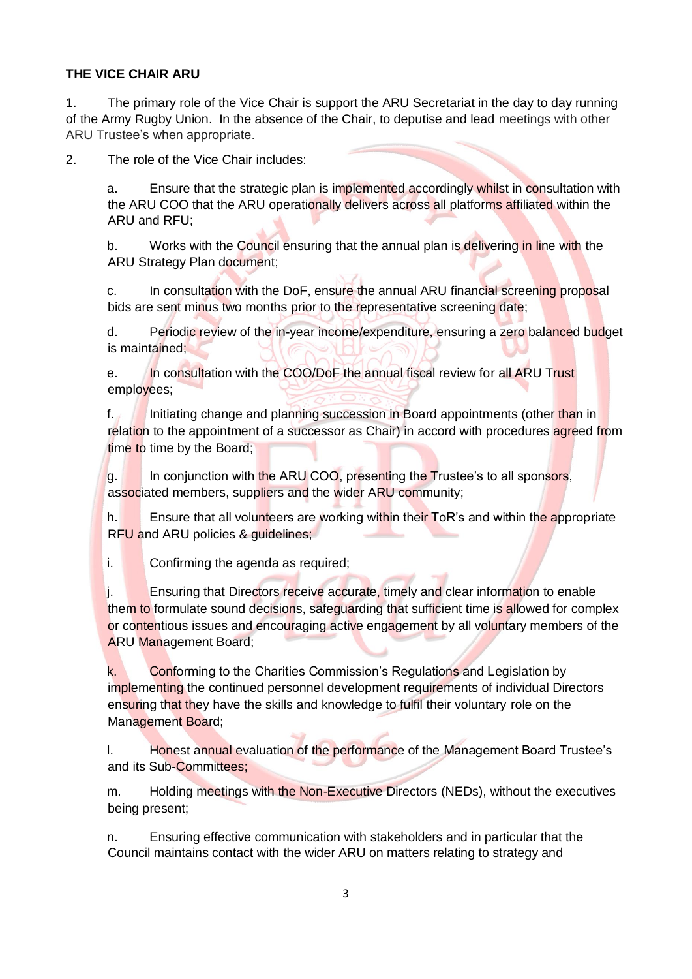#### **THE VICE CHAIR ARU**

1. The primary role of the Vice Chair is support the ARU Secretariat in the day to day running of the Army Rugby Union. In the absence of the Chair, to deputise and lead meetings with other ARU Trustee's when appropriate.

2. The role of the Vice Chair includes:

a. Ensure that the strategic plan is implemented accordingly whilst in consultation with the ARU COO that the ARU operationally delivers across all platforms affiliated within the ARU and RFU;

b. Works with the Council ensuring that the annual plan is delivering in line with the ARU Strategy Plan document;

c. In consultation with the DoF, ensure the annual ARU financial screening proposal bids are sent minus two months prior to the representative screening date;

d. Periodic review of the in-year income/expenditure, ensuring a zero balanced budget is maintained;

e. In consultation with the COO/DoF the annual fiscal review for all ARU Trust employees;

f. Initiating change and planning succession in Board appointments (other than in relation to the appointment of a successor as Chair) in accord with procedures agreed from time to time by the Board;

g. In conjunction with the ARU COO, presenting the Trustee's to all sponsors, associated members, suppliers and the wider ARU community;

h. **Ensure that all volunteers are working within their ToR's and within the appropriate** RFU and ARU policies & quidelines:

i. Confirming the agenda as required;

j. Ensuring that Directors receive accurate, timely and clear information to enable them to formulate sound decisions, safeguarding that sufficient time is allowed for complex or contentious issues and encouraging active engagement by all voluntary members of the ARU Management Board;

k. Conforming to the Charities Commission's Regulations and Legislation by implementing the continued personnel development requirements of individual Directors ensuring that they have the skills and knowledge to fulfil their voluntary role on the Management Board;

l. Honest annual evaluation of the performance of the Management Board Trustee's and its Sub-Committees;

m. Holding meetings with the Non-Executive Directors (NEDs), without the executives being present;

n. Ensuring effective communication with stakeholders and in particular that the Council maintains contact with the wider ARU on matters relating to strategy and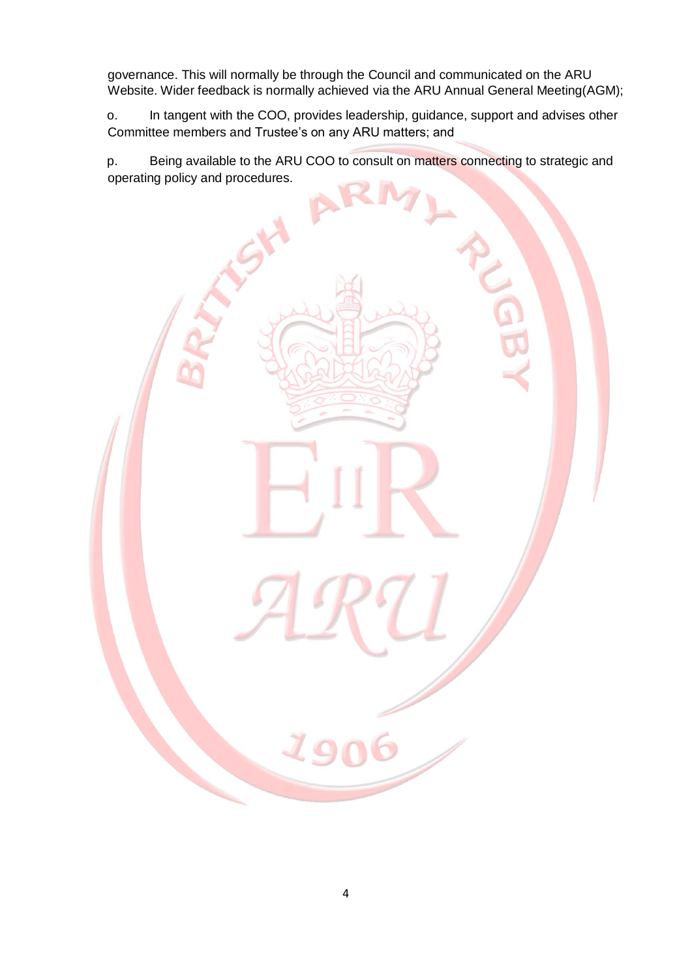governance. This will normally be through the Council and communicated on the ARU Website. Wider feedback is normally achieved via the ARU Annual General Meeting(AGM);

o. In tangent with the COO, provides leadership, guidance, support and advises other Committee members and Trustee's on any ARU matters; and

p. Being available to the ARU COO to consult on matters connecting to strategic and operating policy and procedures.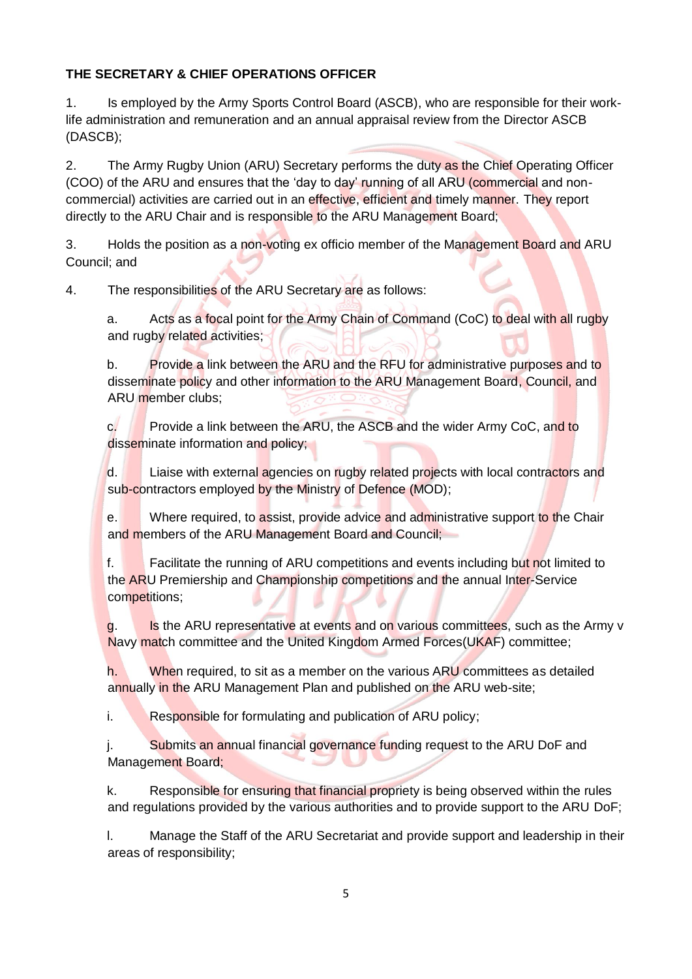# **THE SECRETARY & CHIEF OPERATIONS OFFICER**

1. Is employed by the Army Sports Control Board (ASCB), who are responsible for their worklife administration and remuneration and an annual appraisal review from the Director ASCB (DASCB);

2. The Army Rugby Union (ARU) Secretary performs the duty as the Chief Operating Officer (COO) of the ARU and ensures that the 'day to day' running of all ARU (commercial and noncommercial) activities are carried out in an effective, efficient and timely manner. They report directly to the ARU Chair and is responsible to the ARU Management Board;

3. Holds the position as a non-voting ex officio member of the Management Board and ARU Council; and

4. The responsibilities of the ARU Secretary are as follows:

a. Acts as a focal point for the Army Chain of Command (CoC) to deal with all rugby and rugby related activities;

b. Provide a link between the ARU and the RFU for administrative purposes and to disseminate policy and other information to the ARU Management Board, Council, and ARU member clubs;

c. **Provide a link between the ARU, the ASCB and the wider Army CoC, and to** disseminate information and policy;

d. Liaise with external agencies on rugby related projects with local contractors and sub-contractors employed by the Ministry of Defence (MOD);

e. Where required, to assist, provide advice and administrative support to the Chair and members of the ARU Management Board and Council;

f. Facilitate the running of ARU competitions and events including but not limited to the ARU Premiership and Championship competitions and the annual Inter-Service competitions;

g. Is the ARU representative at events and on various committees, such as the Army v Navy match committee and the United Kingdom Armed Forces(UKAF) committee;

h. When required, to sit as a member on the various ARU committees as detailed annually in the ARU Management Plan and published on the ARU web-site;

i. Responsible for formulating and publication of ARU policy;

j. Submits an annual financial governance funding request to the ARU DoF and Management Board;

k. Responsible for ensuring that financial propriety is being observed within the rules and regulations provided by the various authorities and to provide support to the ARU DoF;

l. Manage the Staff of the ARU Secretariat and provide support and leadership in their areas of responsibility;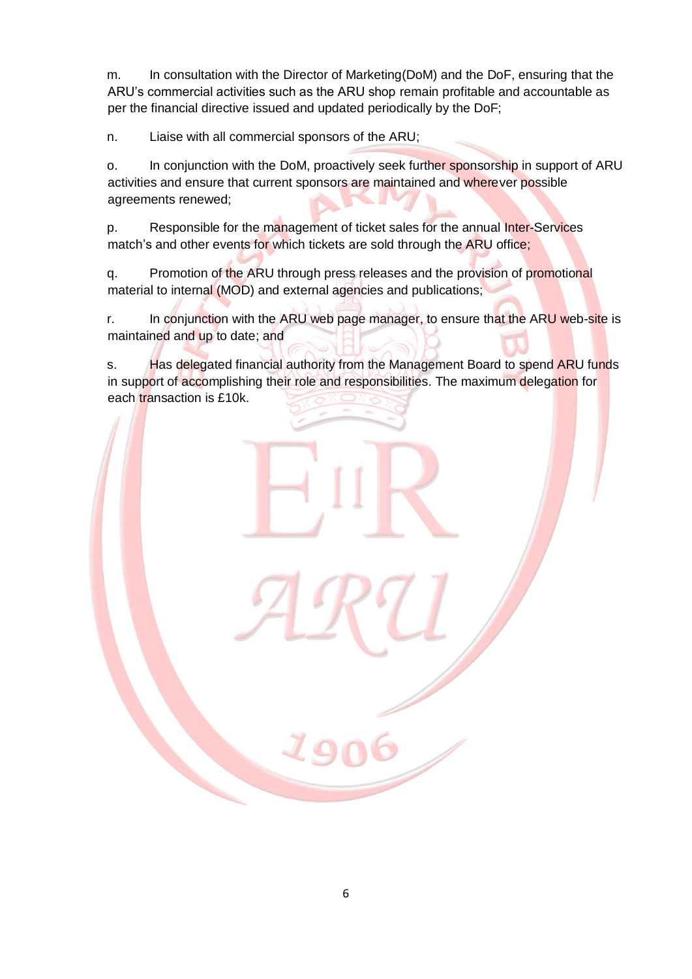m. In consultation with the Director of Marketing(DoM) and the DoF, ensuring that the ARU's commercial activities such as the ARU shop remain profitable and accountable as per the financial directive issued and updated periodically by the DoF;

n. Liaise with all commercial sponsors of the ARU;

o. In conjunction with the DoM, proactively seek further sponsorship in support of ARU activities and ensure that current sponsors are maintained and wherever possible agreements renewed;

p. Responsible for the management of ticket sales for the annual Inter-Services match's and other events for which tickets are sold through the ARU office;

q. Promotion of the ARU through press releases and the provision of promotional material to internal (MOD) and external agencies and publications;

r. In conjunction with the ARU web page manager, to ensure that the ARU web-site is maintained and up to date; and

s. Has delegated financial authority from the Management Board to spend ARU funds in support of accomplishing their role and responsibilities. The maximum delegation for each transaction is £10k.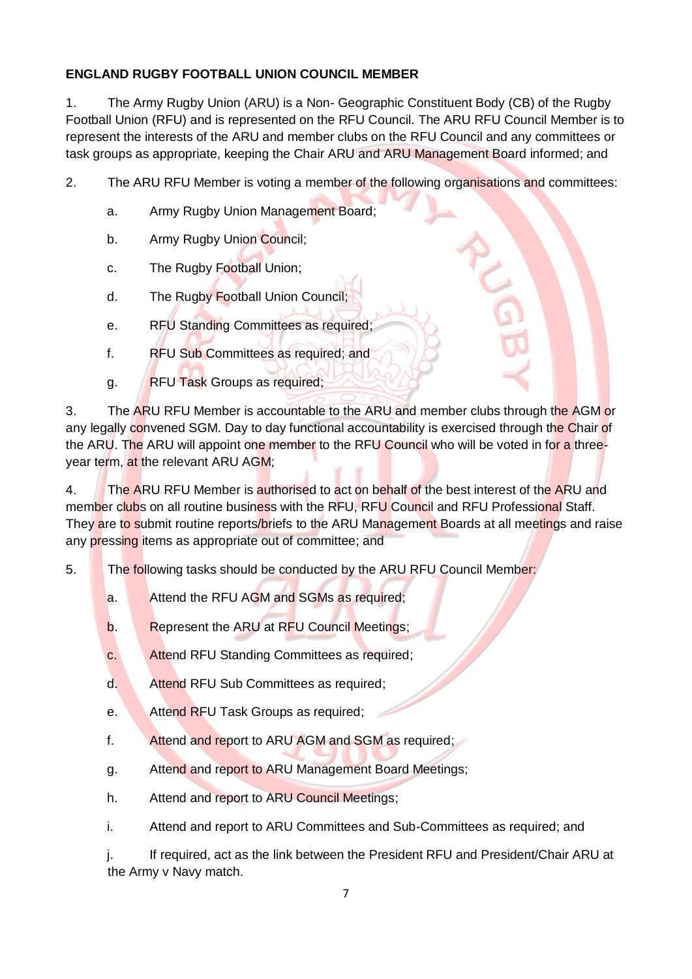# **ENGLAND RUGBY FOOTBALL UNION COUNCIL MEMBER**

1. The Army Rugby Union (ARU) is a Non- Geographic Constituent Body (CB) of the Rugby Football Union (RFU) and is represented on the RFU Council. The ARU RFU Council Member is to represent the interests of the ARU and member clubs on the RFU Council and any committees or task groups as appropriate, keeping the Chair ARU and ARU Management Board informed; and

2. The ARU RFU Member is voting a member of the following organisations and committees:

- a. Army Rugby Union Management Board;
- b. Army Rugby Union Council;
- c. The Rugby Football Union;
- d. The Rugby Football Union Council;
- e. RFU Standing Committees as required;
- f. RFU Sub Committees as required; and
- g. RFU Task Groups as required;

3. The ARU RFU Member is accountable to the ARU and member clubs through the AGM or any legally convened SGM. Day to day functional accountability is exercised through the Chair of the ARU. The ARU will appoint one member to the RFU Council who will be voted in for a threeyear term, at the relevant ARU AGM;

4. The ARU RFU Member is authorised to act on behalf of the best interest of the ARU and member clubs on all routine business with the RFU, RFU Council and RFU Professional Staff. They are to submit routine reports/briefs to the ARU Management Boards at all meetings and raise any pressing items as appropriate out of committee; and

5. The following tasks should be conducted by the ARU RFU Council Member:

- a. Attend the RFU AGM and SGMs as required;
- b. Represent the ARU at RFU Council Meetings;
- c. Attend RFU Standing Committees as required;
- d. Attend RFU Sub Committees as required;
- e. Attend RFU Task Groups as required;
- f. Attend and report to ARU AGM and SGM as required;
- g. Attend and report to ARU Management Board Meetings;
- h. Attend and report to ARU Council Meetings;
- i. Attend and report to ARU Committees and Sub-Committees as required; and

j. If required, act as the link between the President RFU and President/Chair ARU at the Army v Navy match.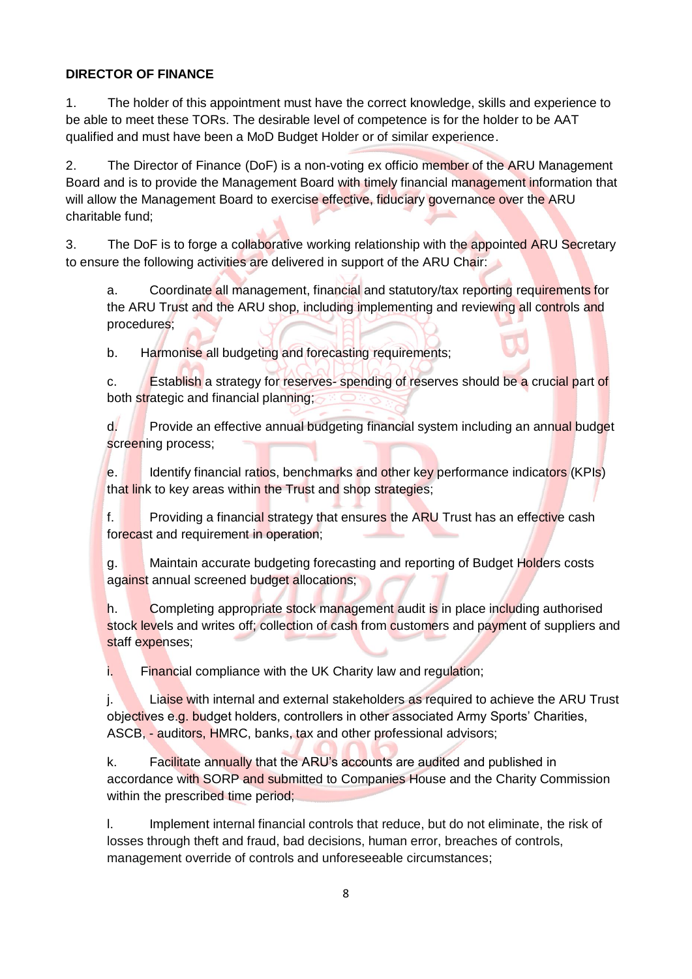## **DIRECTOR OF FINANCE**

1. The holder of this appointment must have the correct knowledge, skills and experience to be able to meet these TORs. The desirable level of competence is for the holder to be AAT qualified and must have been a MoD Budget Holder or of similar experience.

2. The Director of Finance (DoF) is a non-voting ex officio member of the ARU Management Board and is to provide the Management Board with timely financial management information that will allow the Management Board to exercise effective, fiduciary governance over the ARU charitable fund;

3. The DoF is to forge a collaborative working relationship with the appointed ARU Secretary to ensure the following activities are delivered in support of the ARU Chair:

a. Coordinate all management, financial and statutory/tax reporting requirements for the ARU Trust and the ARU shop, including implementing and reviewing all controls and procedures;

b. Harmonise all budgeting and forecasting requirements;

c. Establish a strategy for reserves- spending of reserves should be a crucial part of both strategic and financial planning;

d. Provide an effective annual budgeting financial system including an annual budget screening process;

e. Identify financial ratios, benchmarks and other key performance indicators (KPIs) that link to key areas within the Trust and shop strategies;

f. Providing a financial strategy that ensures the ARU Trust has an effective cash forecast and requirement in operation;

g. Maintain accurate budgeting forecasting and reporting of Budget Holders costs against annual screened budget allocations;

h. Completing appropriate stock management audit is in place including authorised stock levels and writes off; collection of cash from customers and payment of suppliers and staff expenses;

i. Financial compliance with the UK Charity law and regulation;

j. Liaise with internal and external stakeholders as required to achieve the ARU Trust objectives e.g. budget holders, controllers in other associated Army Sports' Charities, ASCB, - auditors, HMRC, banks, tax and other professional advisors;

k. Facilitate annually that the ARU's accounts are audited and published in accordance with SORP and submitted to Companies House and the Charity Commission within the prescribed time period;

l. Implement internal financial controls that reduce, but do not eliminate, the risk of losses through theft and fraud, bad decisions, human error, breaches of controls, management override of controls and unforeseeable circumstances;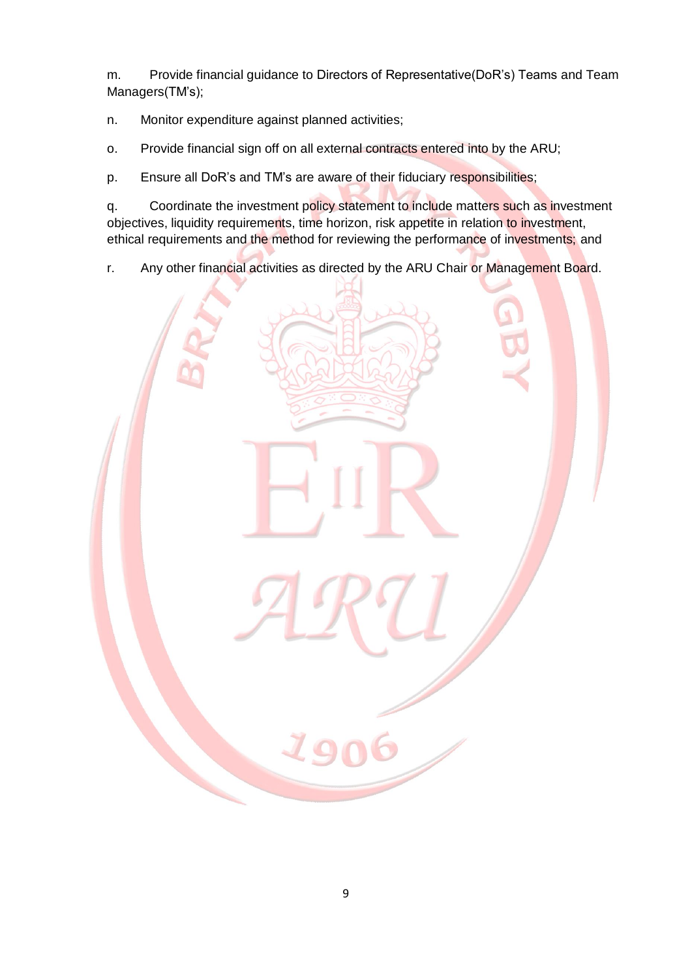m. Provide financial guidance to Directors of Representative(DoR's) Teams and Team Managers(TM's);

n. Monitor expenditure against planned activities;

o. Provide financial sign off on all external contracts entered into by the ARU;

p. Ensure all DoR's and TM's are aware of their fiduciary responsibilities;

q. Coordinate the investment policy statement to include matters such as investment objectives, liquidity requirements, time horizon, risk appetite in relation to investment, ethical requirements and the method for reviewing the performance of investments; and

r. Any other financial activities as directed by the ARU Chair or Management Board.

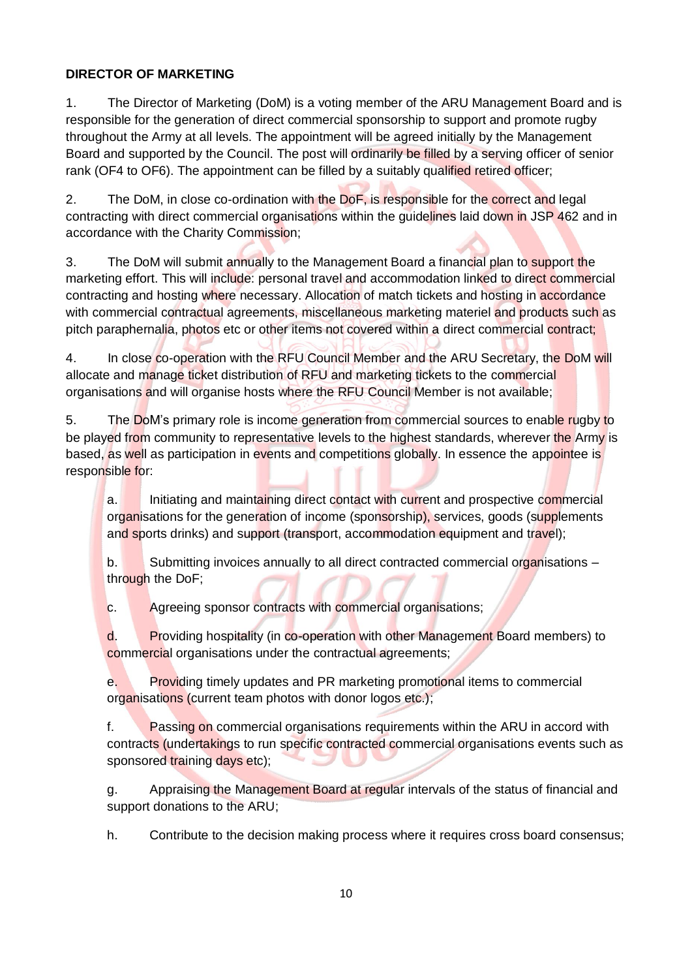## **DIRECTOR OF MARKETING**

1. The Director of Marketing (DoM) is a voting member of the ARU Management Board and is responsible for the generation of direct commercial sponsorship to support and promote rugby throughout the Army at all levels. The appointment will be agreed initially by the Management Board and supported by the Council. The post will ordinarily be filled by a serving officer of senior rank (OF4 to OF6). The appointment can be filled by a suitably qualified retired officer;

2. The DoM, in close co-ordination with the DoF, is responsible for the correct and legal contracting with direct commercial organisations within the guidelines laid down in JSP 462 and in accordance with the Charity Commission;

3. The DoM will submit annually to the Management Board a financial plan to support the marketing effort. This will include: personal travel and accommodation linked to direct commercial contracting and hosting where necessary. Allocation of match tickets and hosting in accordance with commercial contractual agreements, miscellaneous marketing materiel and products such as pitch paraphernalia, photos etc or other items not covered within a direct commercial contract;

4. In close co-operation with the RFU Council Member and the ARU Secretary, the DoM will allocate and manage ticket distribution of RFU and marketing tickets to the commercial organisations and will organise hosts where the RFU Council Member is not available;

5. The DoM's primary role is income generation from commercial sources to enable rugby to be played from community to representative levels to the highest standards, wherever the Army is based, as well as participation in events and competitions globally. In essence the appointee is responsible for:

a. Initiating and maintaining direct contact with current and prospective commercial organisations for the generation of income (sponsorship), services, goods (supplements and sports drinks) and support (transport, accommodation equipment and travel);

b. Submitting invoices annually to all direct contracted commercial organisations – through the DoF;

c. Agreeing sponsor contracts with commercial organisations;

d. Providing hospitality (in co-operation with other Management Board members) to commercial organisations under the contractual agreements;

e. Providing timely updates and PR marketing promotional items to commercial organisations (current team photos with donor logos etc.);

f. Passing on commercial organisations requirements within the ARU in accord with contracts (undertakings to run specific contracted commercial organisations events such as sponsored training days etc);

g. Appraising the Management Board at regular intervals of the status of financial and support donations to the ARU;

h. Contribute to the decision making process where it requires cross board consensus;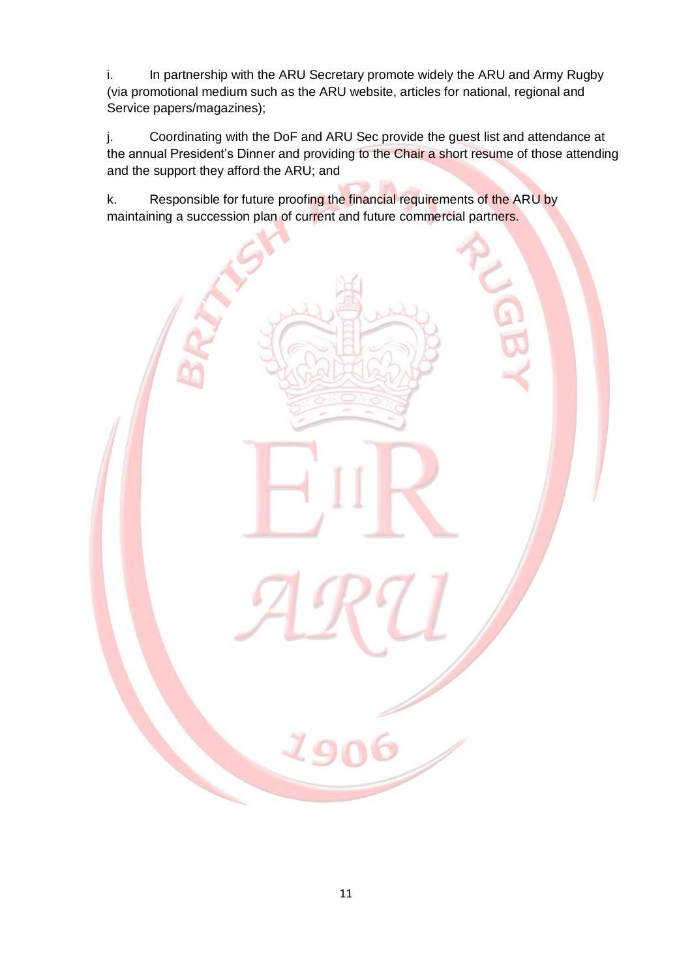i. In partnership with the ARU Secretary promote widely the ARU and Army Rugby (via promotional medium such as the ARU website, articles for national, regional and Service papers/magazines);

j. Coordinating with the DoF and ARU Sec provide the guest list and attendance at the annual President's Dinner and providing to the Chair a short resume of those attending and the support they afford the ARU; and

k. Responsible for future proofing the financial requirements of the ARU by maintaining a succession plan of current and future commercial partners.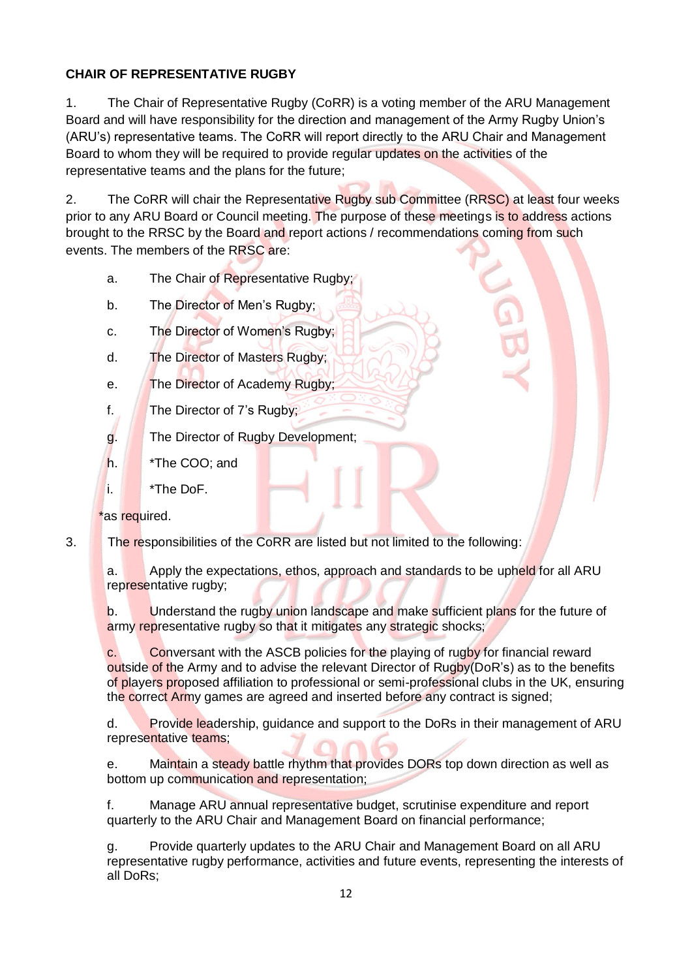## **CHAIR OF REPRESENTATIVE RUGBY**

1. The Chair of Representative Rugby (CoRR) is a voting member of the ARU Management Board and will have responsibility for the direction and management of the Army Rugby Union's (ARU's) representative teams. The CoRR will report directly to the ARU Chair and Management Board to whom they will be required to provide regular updates on the activities of the representative teams and the plans for the future;

2. The CoRR will chair the Representative Rugby sub Committee (RRSC) at least four weeks prior to any ARU Board or Council meeting. The purpose of these meetings is to address actions brought to the RRSC by the Board and report actions / recommendations coming from such events. The members of the RRSC are:

- a. The Chair of Representative Rugby;
- b. The Director of Men's Rugby;
- c. The Director of Women's Rugby;
- d. The Director of Masters Rugby;
- e. The Director of Academy Rugby;
- f. The Director of 7's Rugby;
- g. The Director of Rugby Development;
- h. **\*The COO**; and
- i. \*The DoF.

\*as required.

3. The responsibilities of the CoRR are listed but not limited to the following:

a. Apply the expectations, ethos, approach and standards to be upheld for all ARU representative rugby;

b. Understand the rugby union landscape and make sufficient plans for the future of army representative rugby so that it mitigates any strategic shocks;

c. Conversant with the ASCB policies for the playing of rugby for financial reward outside of the Army and to advise the relevant Director of Rugby(DoR's) as to the benefits of players proposed affiliation to professional or semi-professional clubs in the UK, ensuring the correct Army games are agreed and inserted before any contract is signed;

d. Provide leadership, guidance and support to the DoRs in their management of ARU representative teams;

e. Maintain a steady battle rhythm that provides DORs top down direction as well as bottom up communication and representation;

f. Manage ARU annual representative budget, scrutinise expenditure and report quarterly to the ARU Chair and Management Board on financial performance;

g. Provide quarterly updates to the ARU Chair and Management Board on all ARU representative rugby performance, activities and future events, representing the interests of all DoRs;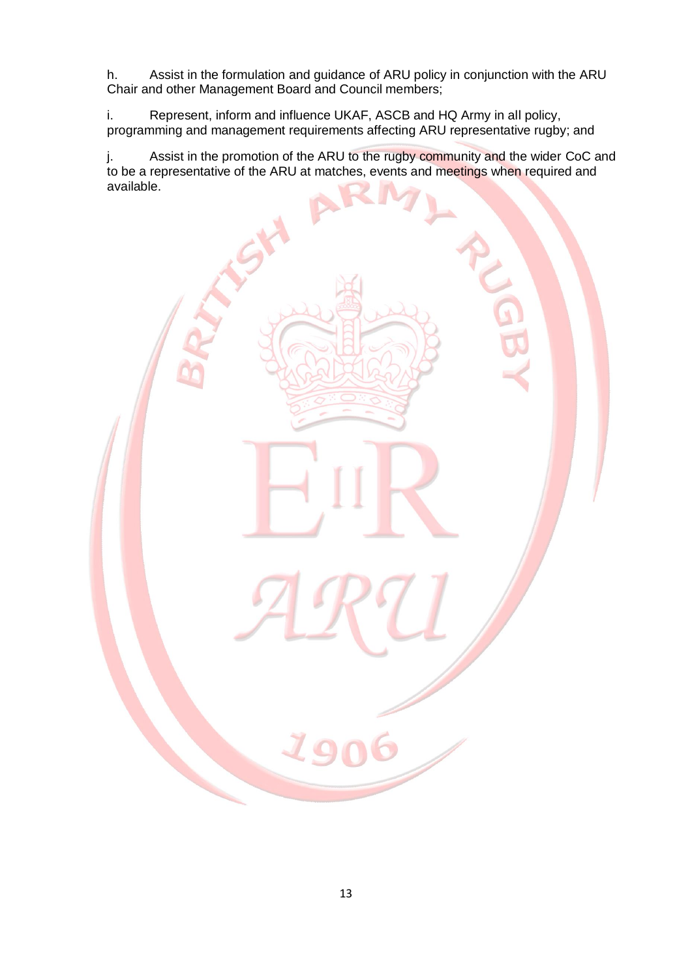h. Assist in the formulation and guidance of ARU policy in conjunction with the ARU Chair and other Management Board and Council members;

i. Represent, inform and influence UKAF, ASCB and HQ Army in all policy, programming and management requirements affecting ARU representative rugby; and

j. Assist in the promotion of the ARU to the rugby community and the wider CoC and to be a representative of the ARU at matches, events and meetings when required and available.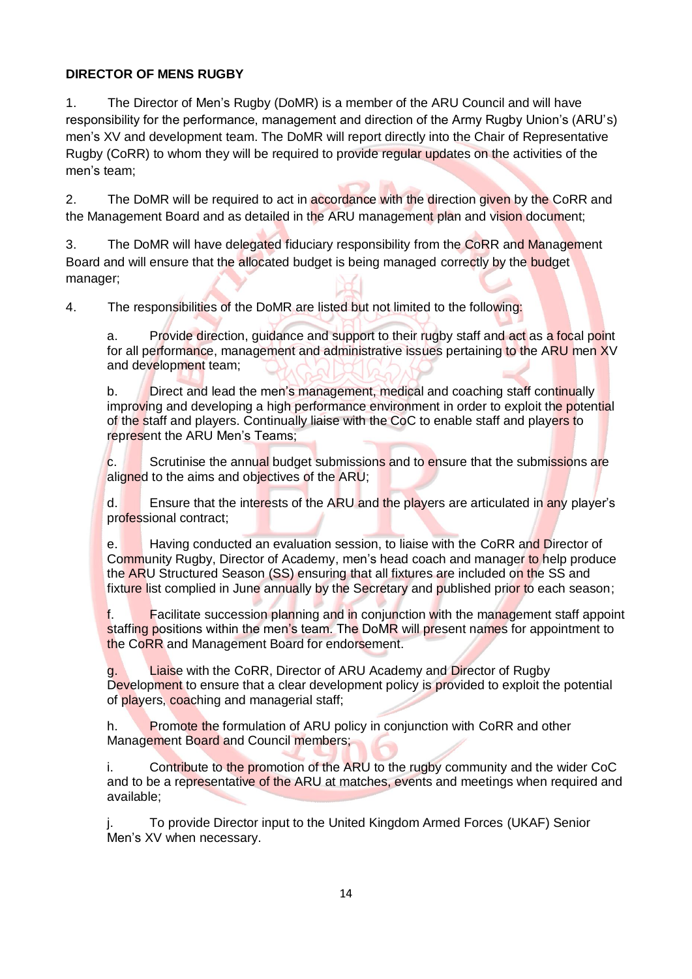### **DIRECTOR OF MENS RUGBY**

1. The Director of Men's Rugby (DoMR) is a member of the ARU Council and will have responsibility for the performance, management and direction of the Army Rugby Union's (ARU's) men's XV and development team. The DoMR will report directly into the Chair of Representative Rugby (CoRR) to whom they will be required to provide regular updates on the activities of the men's team;

2. The DoMR will be required to act in accordance with the direction given by the CoRR and the Management Board and as detailed in the ARU management plan and vision document;

3. The DoMR will have delegated fiduciary responsibility from the CoRR and Management Board and will ensure that the allocated budget is being managed correctly by the budget manager;

4. The responsibilities of the DoMR are listed but not limited to the following:

a. Provide direction, guidance and support to their rugby staff and act as a focal point for all performance, management and administrative issues pertaining to the ARU men XV and development team;

b. Direct and lead the men's management, medical and coaching staff continually improving and developing a high performance environment in order to exploit the potential of the staff and players. Continually liaise with the CoC to enable staff and players to represent the ARU Men's Teams;

c. Scrutinise the annual budget submissions and to ensure that the submissions are aligned to the aims and objectives of the ARU;

d. Ensure that the interests of the ARU and the players are articulated in any player's professional contract;

e. Having conducted an evaluation session, to liaise with the CoRR and Director of Community Rugby, Director of Academy, men's head coach and manager to help produce the ARU Structured Season (SS) ensuring that all fixtures are included on the SS and fixture list complied in June annually by the Secretary and published prior to each season;

f. Facilitate succession planning and in conjunction with the management staff appoint staffing positions within the men's team. The DoMR will present names for appointment to the CoRR and Management Board for endorsement.

g. Liaise with the CoRR, Director of ARU Academy and Director of Rugby Development to ensure that a clear development policy is provided to exploit the potential of players, coaching and managerial staff;

h. Promote the formulation of ARU policy in conjunction with CoRR and other Management Board and Council members;

i. Contribute to the promotion of the ARU to the rugby community and the wider CoC and to be a representative of the ARU at matches, events and meetings when required and available;

j. To provide Director input to the United Kingdom Armed Forces (UKAF) Senior Men's XV when necessary.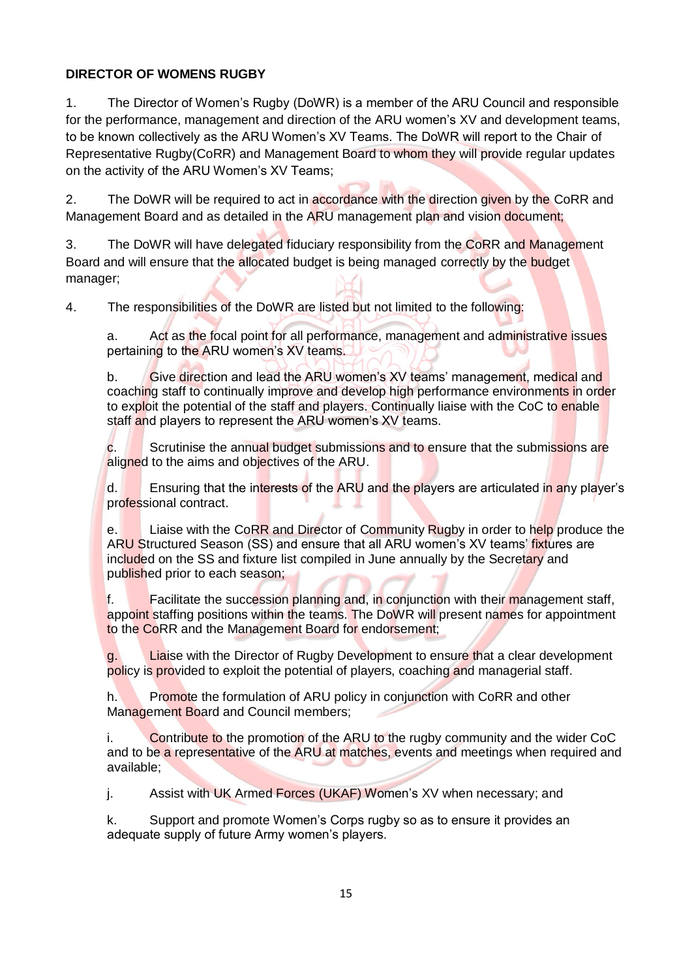## **DIRECTOR OF WOMENS RUGBY**

1. The Director of Women's Rugby (DoWR) is a member of the ARU Council and responsible for the performance, management and direction of the ARU women's XV and development teams, to be known collectively as the ARU Women's XV Teams. The DoWR will report to the Chair of Representative Rugby(CoRR) and Management Board to whom they will provide regular updates on the activity of the ARU Women's XV Teams;

2. The DoWR will be required to act in accordance with the direction given by the CoRR and Management Board and as detailed in the ARU management plan and vision document;

3. The DoWR will have delegated fiduciary responsibility from the CoRR and Management Board and will ensure that the allocated budget is being managed correctly by the budget manager;

4. The responsibilities of the DoWR are listed but not limited to the following:

a. Act as the focal point for all performance, management and administrative issues pertaining to the ARU women's XV teams.

b. Give direction and lead the ARU women's XV teams' management, medical and coaching staff to continually improve and develop high performance environments in order to exploit the potential of the staff and players. Continually liaise with the CoC to enable staff and players to represent the ARU women's XV teams.

c. Scrutinise the annual budget submissions and to ensure that the submissions are aligned to the aims and objectives of the ARU.

d. Ensuring that the interests of the ARU and the players are articulated in any player's professional contract.

e. Liaise with the CoRR and Director of Community Rugby in order to help produce the ARU Structured Season (SS) and ensure that all ARU women's XV teams' fixtures are included on the SS and fixture list compiled in June annually by the Secretary and published prior to each season;

f. Facilitate the succession planning and, in conjunction with their management staff, appoint staffing positions within the teams. The DoWR will present names for appointment to the CoRR and the Management Board for endorsement;

g. Liaise with the Director of Rugby Development to ensure that a clear development policy is provided to exploit the potential of players, coaching and managerial staff.

h. Promote the formulation of ARU policy in conjunction with CoRR and other Management Board and Council members;

i. Contribute to the promotion of the ARU to the rugby community and the wider CoC and to be a representative of the ARU at matches, events and meetings when required and available;

j. Assist with UK Armed Forces (UKAF) Women's XV when necessary; and

k. Support and promote Women's Corps rugby so as to ensure it provides an adequate supply of future Army women's players.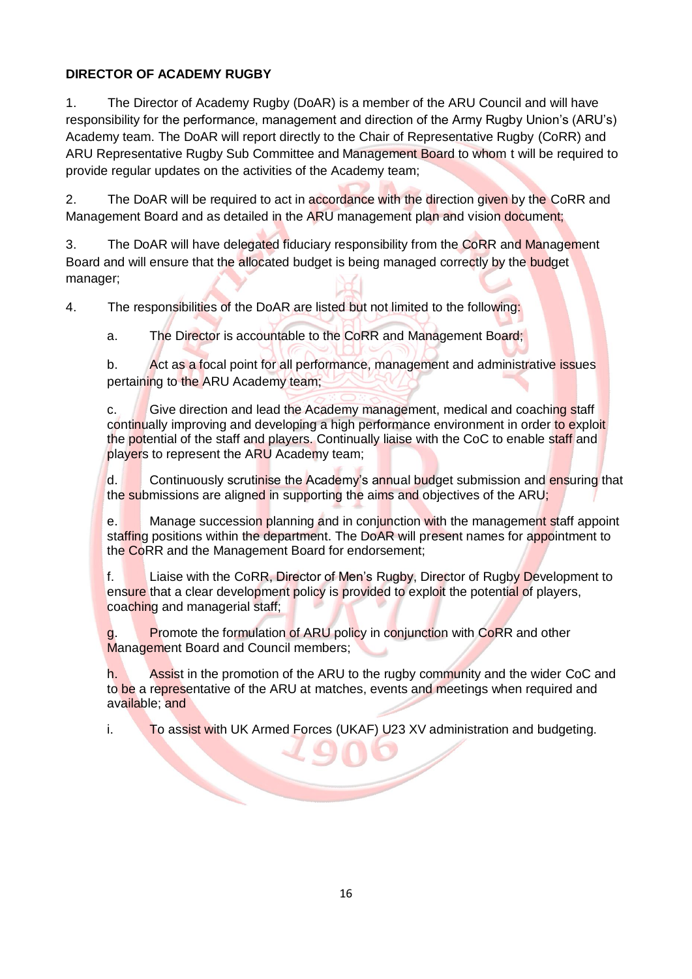## **DIRECTOR OF ACADEMY RUGBY**

1. The Director of Academy Rugby (DoAR) is a member of the ARU Council and will have responsibility for the performance, management and direction of the Army Rugby Union's (ARU's) Academy team. The DoAR will report directly to the Chair of Representative Rugby (CoRR) and ARU Representative Rugby Sub Committee and Management Board to whom t will be required to provide regular updates on the activities of the Academy team;

2. The DoAR will be required to act in accordance with the direction given by the CoRR and Management Board and as detailed in the ARU management plan and vision document;

3. The DoAR will have delegated fiduciary responsibility from the CoRR and Management Board and will ensure that the allocated budget is being managed correctly by the budget manager;

4. The responsibilities of the DoAR are listed but not limited to the following:

a. The Director is accountable to the CoRR and Management Board;

b. Act as a focal point for all performance, management and administrative issues pertaining to the ARU Academy team;

c. Give direction and lead the Academy management, medical and coaching staff continually improving and developing a high performance environment in order to exploit the potential of the staff and players. Continually liaise with the CoC to enable staff and players to represent the ARU Academy team;

d. Continuously scrutinise the Academy's annual budget submission and ensuring that the submissions are aligned in supporting the aims and objectives of the ARU;

e. Manage succession planning and in conjunction with the management staff appoint staffing positions within the department. The DoAR will present names for appointment to the CoRR and the Management Board for endorsement;

f. Liaise with the CoRR, Director of Men's Rugby, Director of Rugby Development to ensure that a clear development policy is provided to exploit the potential of players, coaching and managerial staff;

g. Promote the formulation of ARU policy in conjunction with CoRR and other Management Board and Council members;

h. Assist in the promotion of the ARU to the rugby community and the wider CoC and to be a representative of the ARU at matches, events and meetings when required and available; and

i. To assist with UK Armed Forces (UKAF) U23 XV administration and budgeting.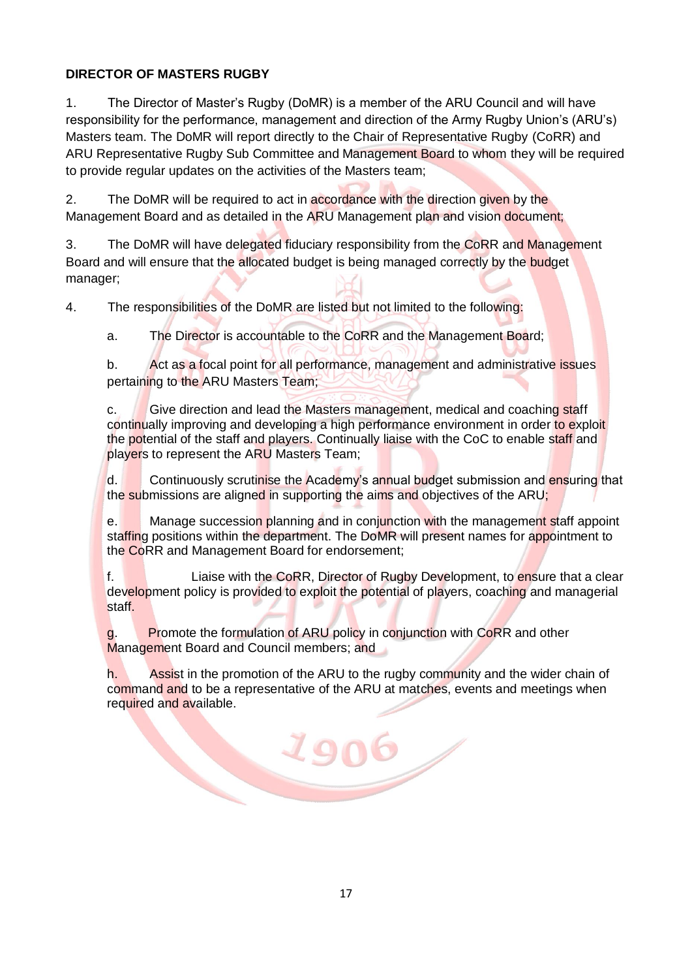## **DIRECTOR OF MASTERS RUGBY**

1. The Director of Master's Rugby (DoMR) is a member of the ARU Council and will have responsibility for the performance, management and direction of the Army Rugby Union's (ARU's) Masters team. The DoMR will report directly to the Chair of Representative Rugby (CoRR) and ARU Representative Rugby Sub Committee and Management Board to whom they will be required to provide regular updates on the activities of the Masters team;

2. The DoMR will be required to act in accordance with the direction given by the Management Board and as detailed in the ARU Management plan and vision document;

3. The DoMR will have delegated fiduciary responsibility from the CoRR and Management Board and will ensure that the allocated budget is being managed correctly by the budget manager;

4. The responsibilities of the DoMR are listed but not limited to the following:

a. The Director is accountable to the CoRR and the Management Board;

b. Act as a focal point for all performance, management and administrative issues pertaining to the ARU Masters Team;

c. Give direction and lead the Masters management, medical and coaching staff continually improving and developing a high performance environment in order to exploit the potential of the staff and players. Continually liaise with the CoC to enable staff and players to represent the ARU Masters Team;

d. Continuously scrutinise the Academy's annual budget submission and ensuring that the submissions are aligned in supporting the aims and objectives of the ARU;

e. Manage succession planning and in conjunction with the management staff appoint staffing positions within the department. The DoMR will present names for appointment to the CoRR and Management Board for endorsement;

f. **Liaise with the CoRR, Director of Rugby Development, to ensure that a clear** development policy is provided to exploit the potential of players, coaching and managerial staff.

g. Promote the formulation of ARU policy in conjunction with CoRR and other Management Board and Council members; and

1906

h. Assist in the promotion of the ARU to the rugby community and the wider chain of command and to be a representative of the ARU at matches, events and meetings when required and available.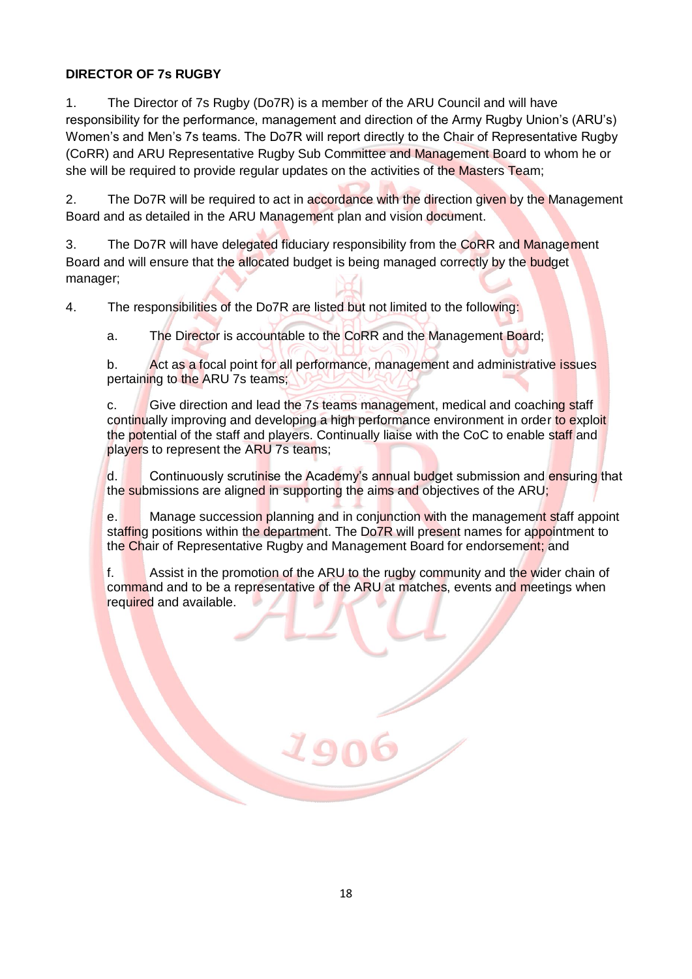## **DIRECTOR OF 7s RUGBY**

1. The Director of 7s Rugby (Do7R) is a member of the ARU Council and will have responsibility for the performance, management and direction of the Army Rugby Union's (ARU's) Women's and Men's 7s teams. The Do7R will report directly to the Chair of Representative Rugby (CoRR) and ARU Representative Rugby Sub Committee and Management Board to whom he or she will be required to provide regular updates on the activities of the Masters Team;

2. The Do7R will be required to act in accordance with the direction given by the Management Board and as detailed in the ARU Management plan and vision document.

3. The Do7R will have delegated fiduciary responsibility from the CoRR and Management Board and will ensure that the allocated budget is being managed correctly by the budget manager;

4. The responsibilities of the Do7R are listed but not limited to the following:

a. The Director is accountable to the CoRR and the Management Board;

b. Act as a focal point for all performance, management and administrative issues pertaining to the ARU 7s teams;

c. Give direction and lead the 7s teams management, medical and coaching staff continually improving and developing a high performance environment in order to exploit the potential of the staff and players. Continually liaise with the CoC to enable staff and players to represent the ARU 7s teams;

d. Continuously scrutinise the Academy's annual budget submission and ensuring that the submissions are aligned in supporting the aims and objectives of the ARU;

e. Manage succession planning and in conjunction with the management staff appoint staffing positions within the department. The Do7R will present names for appointment to the Chair of Representative Rugby and Management Board for endorsement; and

f. Assist in the promotion of the ARU to the rugby community and the wider chain of command and to be a representative of the ARU at matches, events and meetings when required and available.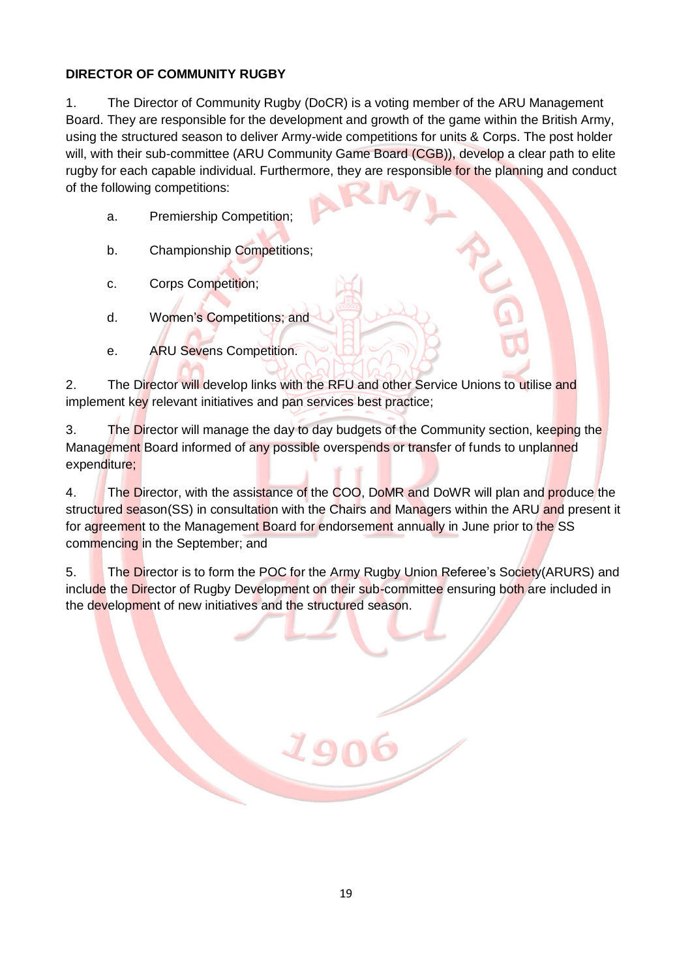## **DIRECTOR OF COMMUNITY RUGBY**

1. The Director of Community Rugby (DoCR) is a voting member of the ARU Management Board. They are responsible for the development and growth of the game within the British Army, using the structured season to deliver Army-wide competitions for units & Corps. The post holder will, with their sub-committee (ARU Community Game Board (CGB)), develop a clear path to elite rugby for each capable individual. Furthermore, they are responsible for the planning and conduct of the following competitions:

- a. Premiership Competition;
- b. Championship Competitions;
- c. Corps Competition;
- d. Women's Competitions; and
- e. ARU Sevens Competition.

2. The Director will develop links with the RFU and other Service Unions to utilise and implement key relevant initiatives and pan services best practice;

3. The Director will manage the day to day budgets of the Community section, keeping the Management Board informed of any possible overspends or transfer of funds to unplanned expenditure;

4. The Director, with the assistance of the COO, DoMR and DoWR will plan and produce the structured season(SS) in consultation with the Chairs and Managers within the ARU and present it for agreement to the Management Board for endorsement annually in June prior to the SS commencing in the September; and

5. The Director is to form the POC for the Army Rugby Union Referee's Society(ARURS) and include the Director of Rugby Development on their sub-committee ensuring both are included in the development of new initiatives and the structured season.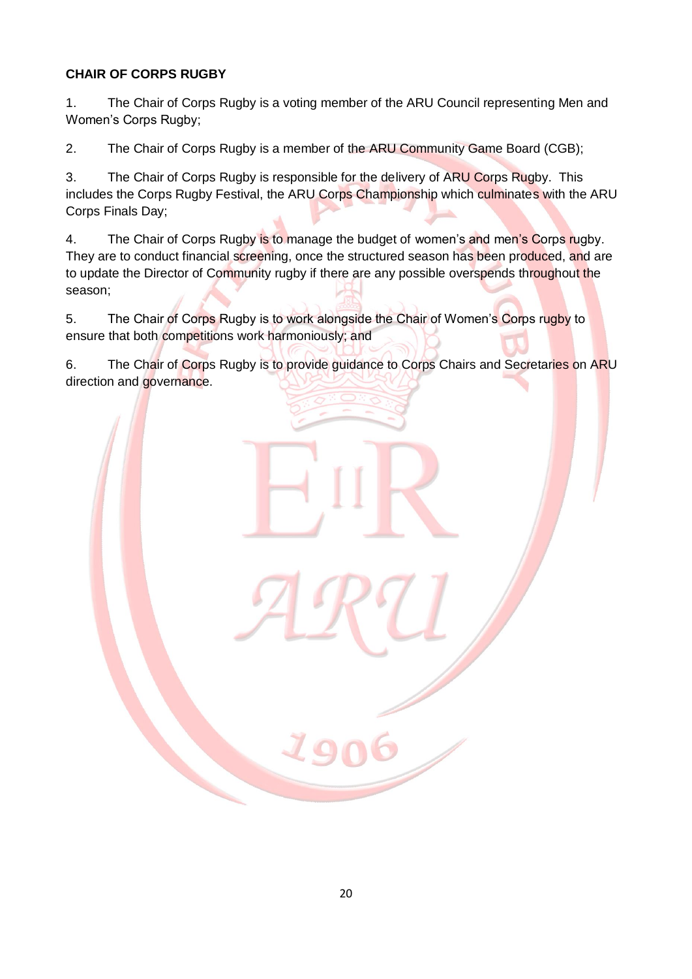# **CHAIR OF CORPS RUGBY**

1. The Chair of Corps Rugby is a voting member of the ARU Council representing Men and Women's Corps Rugby;

2. The Chair of Corps Rugby is a member of the ARU Community Game Board (CGB);

3. The Chair of Corps Rugby is responsible for the delivery of ARU Corps Rugby. This includes the Corps Rugby Festival, the ARU Corps Championship which culminates with the ARU Corps Finals Day;

4. The Chair of Corps Rugby is to manage the budget of women's and men's Corps rugby. They are to conduct financial screening, once the structured season has been produced, and are to update the Director of Community rugby if there are any possible overspends throughout the season;

5. The Chair of Corps Rugby is to work alongside the Chair of Women's Corps rugby to ensure that both competitions work harmoniously; and

6. The Chair of Corps Rugby is to provide guidance to Corps Chairs and Secretaries on ARU direction and governance.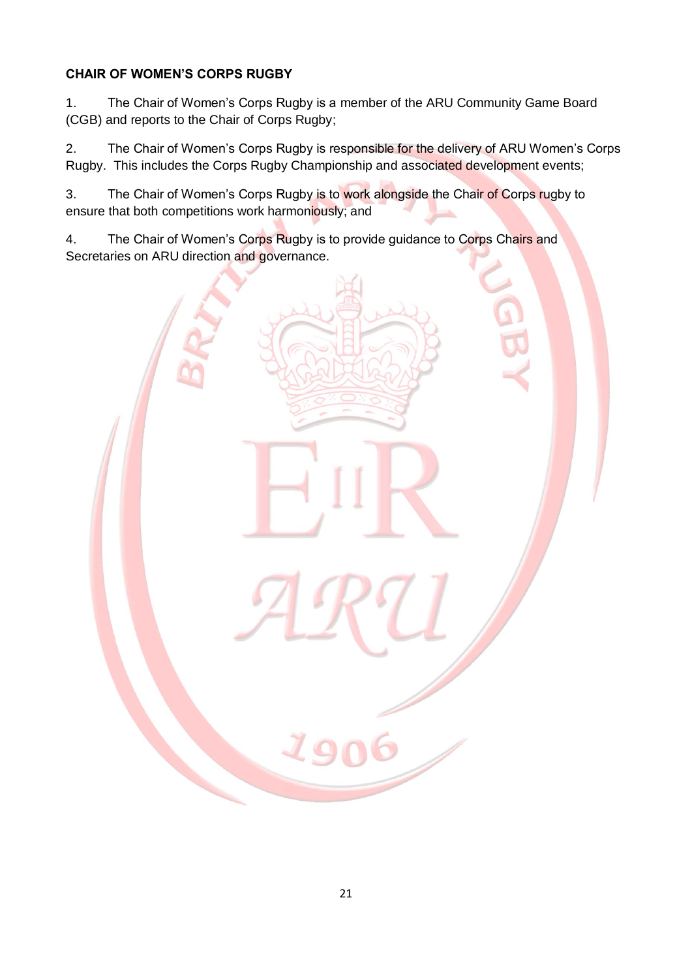# **CHAIR OF WOMEN'S CORPS RUGBY**

1. The Chair of Women's Corps Rugby is a member of the ARU Community Game Board (CGB) and reports to the Chair of Corps Rugby;

2. The Chair of Women's Corps Rugby is responsible for the delivery of ARU Women's Corps Rugby. This includes the Corps Rugby Championship and associated development events;

3. The Chair of Women's Corps Rugby is to work alongside the Chair of Corps rugby to ensure that both competitions work harmoniously; and

4. The Chair of Women's Corps Rugby is to provide guidance to Corps Chairs and Secretaries on ARU direction and governance.

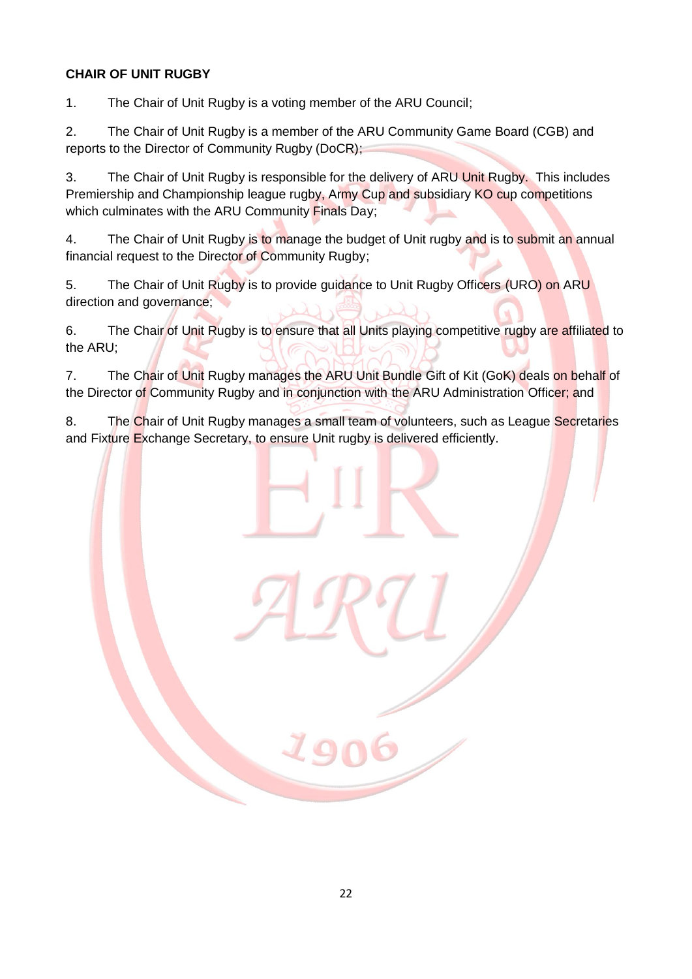## **CHAIR OF UNIT RUGBY**

1. The Chair of Unit Rugby is a voting member of the ARU Council;

2. The Chair of Unit Rugby is a member of the ARU Community Game Board (CGB) and reports to the Director of Community Rugby (DoCR);

3. The Chair of Unit Rugby is responsible for the delivery of ARU Unit Rugby. This includes Premiership and Championship league rugby, Army Cup and subsidiary KO cup competitions which culminates with the ARU Community Finals Day;

4. The Chair of Unit Rugby is to manage the budget of Unit rugby and is to submit an annual financial request to the Director of Community Rugby;

5. The Chair of Unit Rugby is to provide guidance to Unit Rugby Officers (URO) on ARU direction and governance;

6. The Chair of Unit Rugby is to ensure that all Units playing competitive rugby are affiliated to the ARU;

7. The Chair of Unit Rugby manages the ARU Unit Bundle Gift of Kit (GoK) deals on behalf of the Director of Community Rugby and in conjunction with the ARU Administration Officer; and

8. The Chair of Unit Rugby manages a small team of volunteers, such as League Secretaries and Fixture Exchange Secretary, to ensure Unit rugby is delivered efficiently.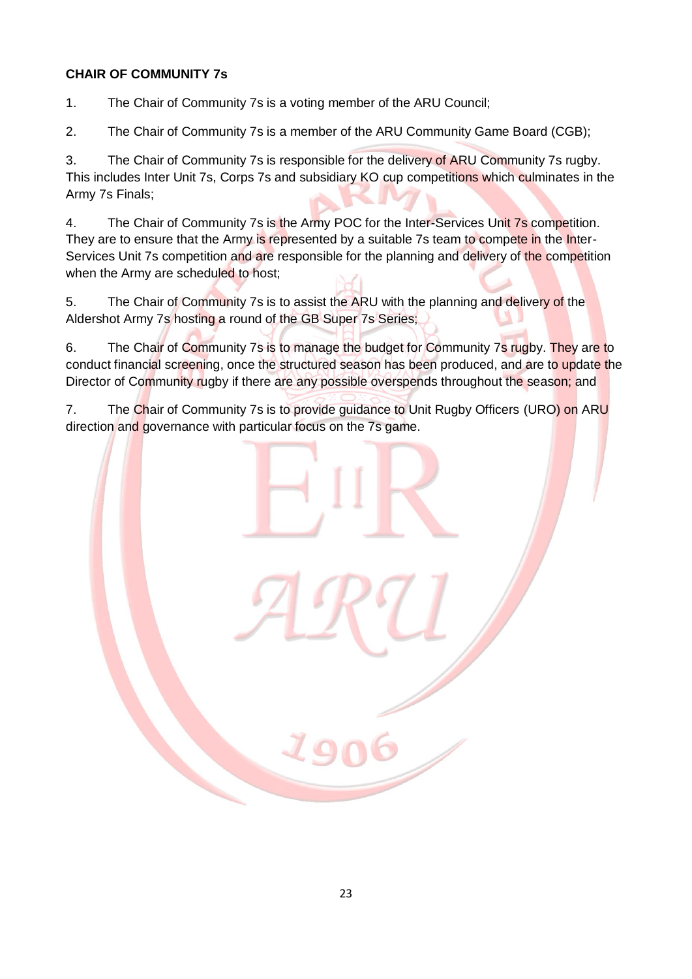### **CHAIR OF COMMUNITY 7s**

1. The Chair of Community 7s is a voting member of the ARU Council;

2. The Chair of Community 7s is a member of the ARU Community Game Board (CGB);

3. The Chair of Community 7s is responsible for the delivery of ARU Community 7s rugby. This includes Inter Unit 7s, Corps 7s and subsidiary KO cup competitions which culminates in the Army 7s Finals;

4. The Chair of Community 7s is the Army POC for the Inter-Services Unit 7s competition. They are to ensure that the Army is represented by a suitable 7s team to compete in the Inter-Services Unit 7s competition and are responsible for the planning and delivery of the competition when the Army are scheduled to host;

5. The Chair of Community 7s is to assist the ARU with the planning and delivery of the Aldershot Army 7s hosting a round of the GB Super 7s Series;

6. The Chair of Community 7s is to manage the budget for Community 7s rugby. They are to conduct financial screening, once the structured season has been produced, and are to update the Director of Community rugby if there are any possible overspends throughout the season; and

7. The Chair of Community 7s is to provide guidance to Unit Rugby Officers (URO) on ARU direction and governance with particular focus on the 7s game.

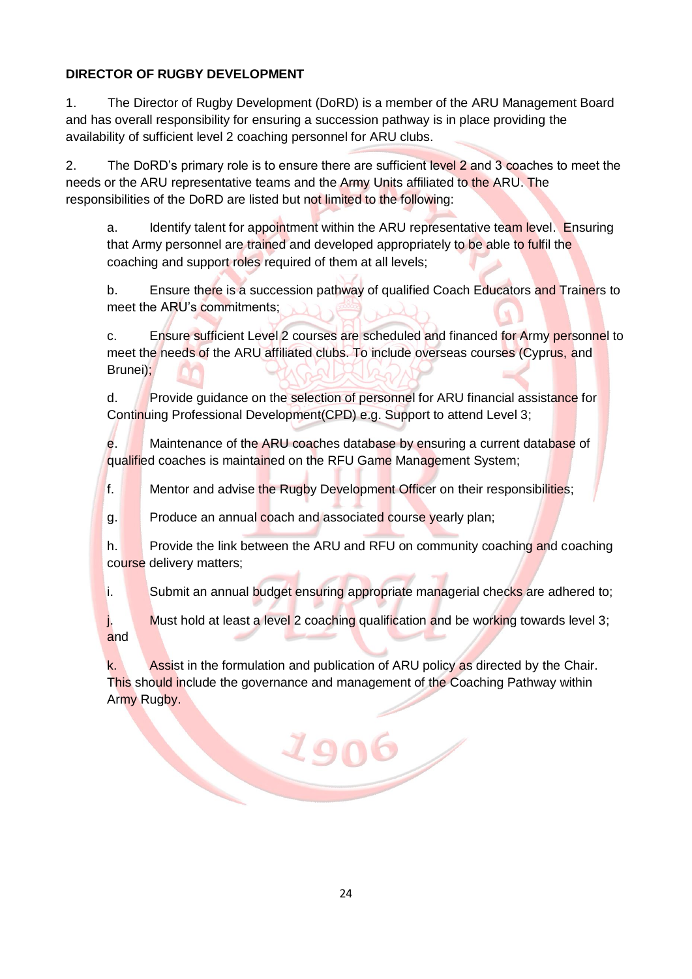## **DIRECTOR OF RUGBY DEVELOPMENT**

1. The Director of Rugby Development (DoRD) is a member of the ARU Management Board and has overall responsibility for ensuring a succession pathway is in place providing the availability of sufficient level 2 coaching personnel for ARU clubs.

2. The DoRD's primary role is to ensure there are sufficient level 2 and 3 coaches to meet the needs or the ARU representative teams and the Army Units affiliated to the ARU. The responsibilities of the DoRD are listed but not limited to the following:

a. Identify talent for appointment within the ARU representative team level. Ensuring that Army personnel are trained and developed appropriately to be able to fulfil the coaching and support roles required of them at all levels;

b. Ensure there is a succession pathway of qualified Coach Educators and Trainers to meet the ARU's commitments;

c. Ensure sufficient Level 2 courses are scheduled and financed for Army personnel to meet the needs of the ARU affiliated clubs. To include overseas courses (Cyprus, and Brunei);

d. Provide guidance on the selection of personnel for ARU financial assistance for Continuing Professional Development(CPD) e.g. Support to attend Level 3;

e. Maintenance of the ARU coaches database by ensuring a current database of qualified coaches is maintained on the RFU Game Management System;

f. Mentor and advise the Rugby Development Officer on their responsibilities;

g. Produce an annual coach and associated course yearly plan;

h. Provide the link between the ARU and RFU on community coaching and coaching course delivery matters;

i. Submit an annual budget ensuring appropriate managerial checks are adhered to;

j. Must hold at least a level 2 coaching qualification and be working towards level 3; and

k. Assist in the formulation and publication of ARU policy as directed by the Chair. This should include the governance and management of the Coaching Pathway within Army Rugby.

1906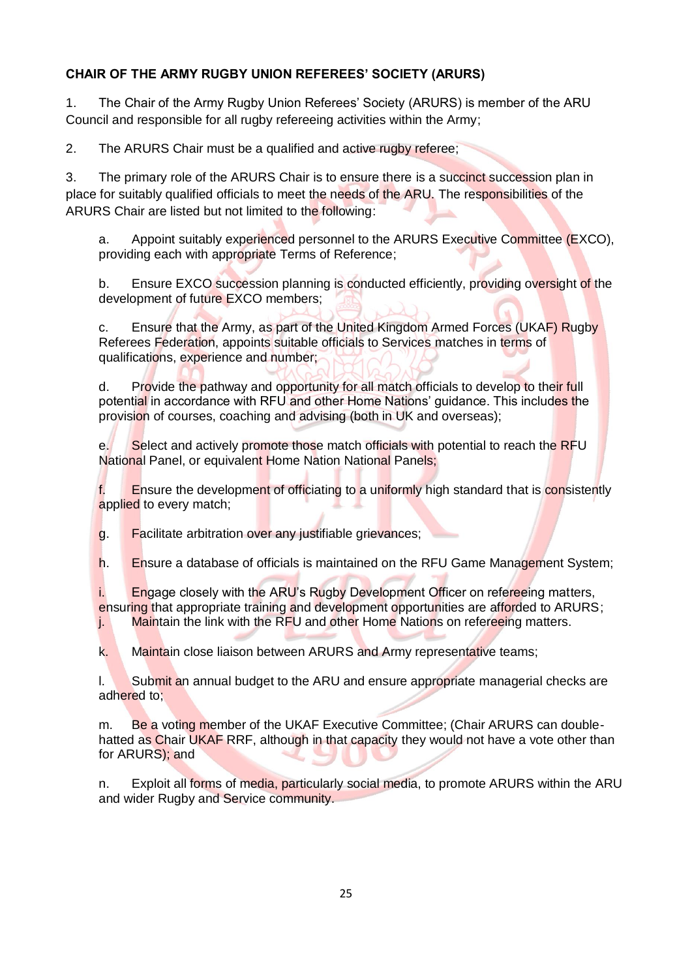## **CHAIR OF THE ARMY RUGBY UNION REFEREES' SOCIETY (ARURS)**

1. The Chair of the Army Rugby Union Referees' Society (ARURS) is member of the ARU Council and responsible for all rugby refereeing activities within the Army;

2. The ARURS Chair must be a qualified and active rugby referee;

3. The primary role of the ARURS Chair is to ensure there is a succinct succession plan in place for suitably qualified officials to meet the needs of the ARU. The responsibilities of the ARURS Chair are listed but not limited to the following:

a. Appoint suitably experienced personnel to the ARURS Executive Committee (EXCO), providing each with appropriate Terms of Reference;

b. Ensure EXCO succession planning is conducted efficiently, providing oversight of the development of future EXCO members;

c. Ensure that the Army, as part of the United Kingdom Armed Forces (UKAF) Rugby Referees Federation, appoints suitable officials to Services matches in terms of qualifications, experience and number;

d. Provide the pathway and opportunity for all match officials to develop to their full potential in accordance with RFU and other Home Nations' guidance. This includes the provision of courses, coaching and advising (both in UK and overseas);

e. Select and actively promote those match officials with potential to reach the RFU National Panel, or equivalent Home Nation National Panels;

f. Ensure the development of officiating to a uniformly high standard that is consistently applied to every match;

g. Facilitate arbitration over any justifiable grievances;

h. Ensure a database of officials is maintained on the RFU Game Management System;

i. Engage closely with the ARU's Rugby Development Officer on refereeing matters, ensuring that appropriate training and development opportunities are afforded to ARURS;

j. Maintain the link with the RFU and other Home Nations on refereeing matters.

k. Maintain close liaison between ARURS and Army representative teams;

l. Submit an annual budget to the ARU and ensure appropriate managerial checks are adhered to;

m. Be a voting member of the UKAF Executive Committee; (Chair ARURS can doublehatted as Chair UKAF RRF, although in that capacity they would not have a vote other than for ARURS); and

n. Exploit all forms of media, particularly social media, to promote ARURS within the ARU and wider Rugby and Service community.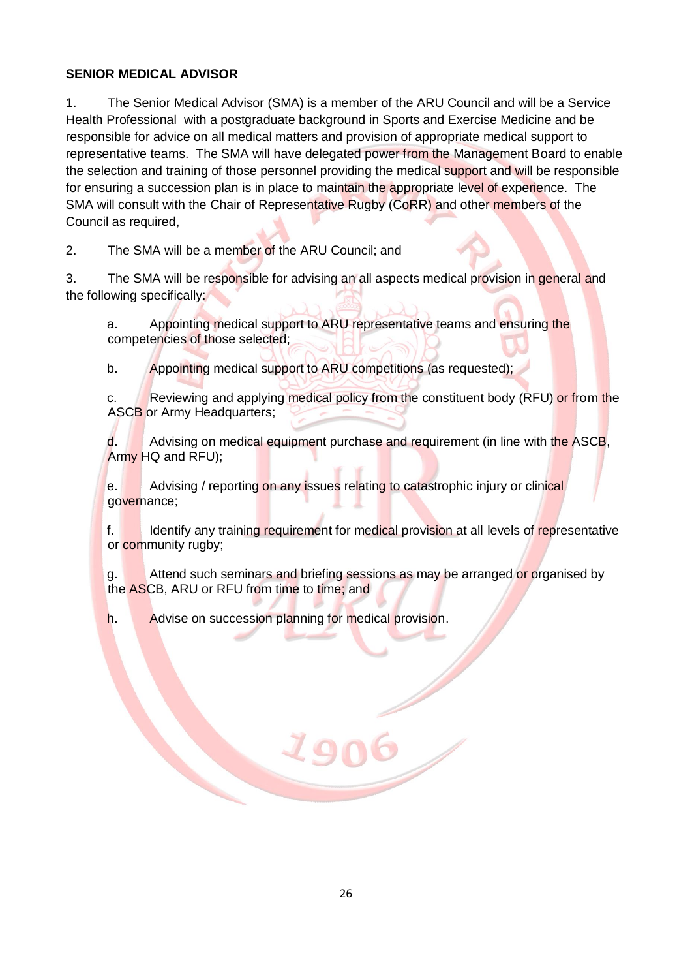### **SENIOR MEDICAL ADVISOR**

1. The Senior Medical Advisor (SMA) is a member of the ARU Council and will be a Service Health Professional with a postgraduate background in Sports and Exercise Medicine and be responsible for advice on all medical matters and provision of appropriate medical support to representative teams. The SMA will have delegated power from the Management Board to enable the selection and training of those personnel providing the medical support and will be responsible for ensuring a succession plan is in place to maintain the appropriate level of experience. The SMA will consult with the Chair of Representative Rugby (CoRR) and other members of the Council as required,

2. The SMA will be a member of the ARU Council; and

3. The SMA will be responsible for advising an all aspects medical provision in general and the following specifically:

a. Appointing medical support to ARU representative teams and ensuring the competencies of those selected;

b. Appointing medical support to ARU competitions (as requested);

c. Reviewing and applying medical policy from the constituent body (RFU) or from the ASCB or Army Headquarters;

d. Advising on medical equipment purchase and requirement (in line with the ASCB, Army HQ and RFU);

e. Advising / reporting on any issues relating to catastrophic injury or clinical governance;

f. Identify any training requirement for medical provision at all levels of representative or community rugby;

g. Attend such seminars and briefing sessions as may be arranged or organised by the ASCB, ARU or RFU from time to time; and

h. Advise on succession planning for medical provision.

19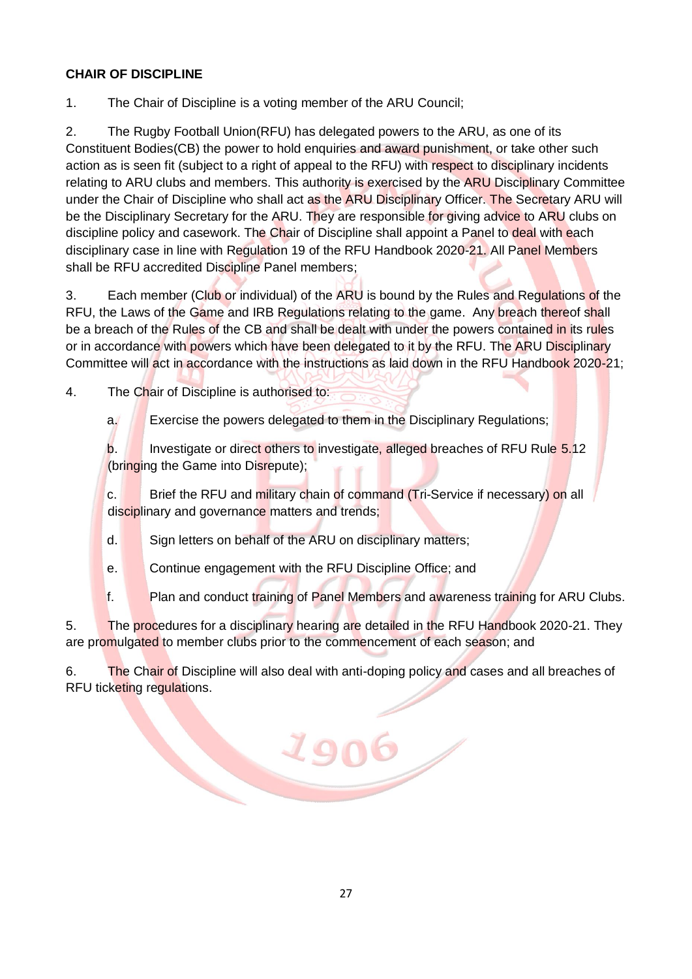## **CHAIR OF DISCIPLINE**

1. The Chair of Discipline is a voting member of the ARU Council;

2. The Rugby Football Union(RFU) has delegated powers to the ARU, as one of its Constituent Bodies(CB) the power to hold enquiries and award punishment, or take other such action as is seen fit (subject to a right of appeal to the RFU) with respect to disciplinary incidents relating to ARU clubs and members. This authority is exercised by the ARU Disciplinary Committee under the Chair of Discipline who shall act as the ARU Disciplinary Officer. The Secretary ARU will be the Disciplinary Secretary for the ARU. They are responsible for giving advice to ARU clubs on discipline policy and casework. The Chair of Discipline shall appoint a Panel to deal with each disciplinary case in line with Regulation 19 of the RFU Handbook 2020-21. All Panel Members shall be RFU accredited Discipline Panel members;

3. Each member (Club or individual) of the ARU is bound by the Rules and Regulations of the RFU, the Laws of the Game and IRB Regulations relating to the game. Any breach thereof shall be a breach of the Rules of the CB and shall be dealt with under the powers contained in its rules or in accordance with powers which have been delegated to it by the RFU. The ARU Disciplinary Committee will act in accordance with the instructions as laid down in the RFU Handbook 2020-21;

4. The Chair of Discipline is authorised to:

a. Exercise the powers delegated to them in the Disciplinary Regulations;

b. Investigate or direct others to investigate, alleged breaches of RFU Rule 5.12 (bringing the Game into Disrepute);

c. Brief the RFU and military chain of command (Tri-Service if necessary) on all disciplinary and governance matters and trends;

d. Sign letters on behalf of the ARU on disciplinary matters;

e. Continue engagement with the RFU Discipline Office; and

f. Plan and conduct training of Panel Members and awareness training for ARU Clubs.

5. The procedures for a disciplinary hearing are detailed in the RFU Handbook 2020-21. They are promulgated to member clubs prior to the commencement of each season; and

6. The Chair of Discipline will also deal with anti-doping policy and cases and all breaches of RFU ticketing regulations.

1906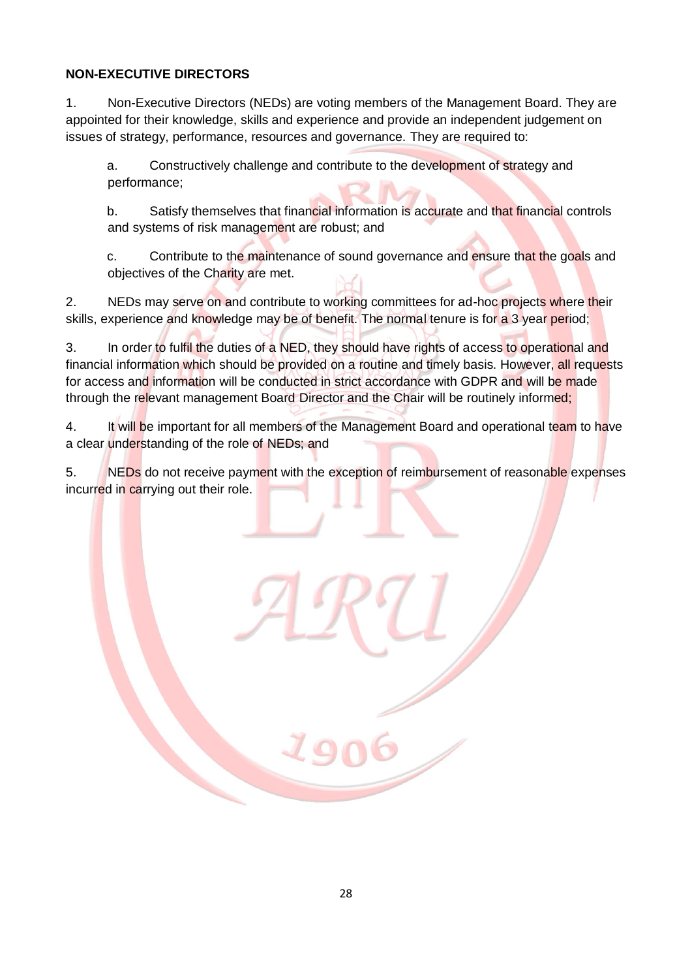### **NON-EXECUTIVE DIRECTORS**

1. Non-Executive Directors (NEDs) are voting members of the Management Board. They are appointed for their knowledge, skills and experience and provide an independent judgement on issues of strategy, performance, resources and governance. They are required to:

a. Constructively challenge and contribute to the development of strategy and performance;

b. Satisfy themselves that financial information is accurate and that financial controls and systems of risk management are robust; and

c. Contribute to the maintenance of sound governance and ensure that the goals and objectives of the Charity are met.

2. NEDs may serve on and contribute to working committees for ad-hoc projects where their skills, experience and knowledge may be of benefit. The normal tenure is for a 3 year period;

3. In order to fulfil the duties of a NED, they should have rights of access to operational and financial information which should be provided on a routine and timely basis. However, all requests for access and information will be conducted in strict accordance with GDPR and will be made through the relevant management Board Director and the Chair will be routinely informed;

4. It will be important for all members of the Management Board and operational team to have a clear understanding of the role of NEDs; and

5. NEDs do not receive payment with the exception of reimbursement of reasonable expenses incurred in carrying out their role.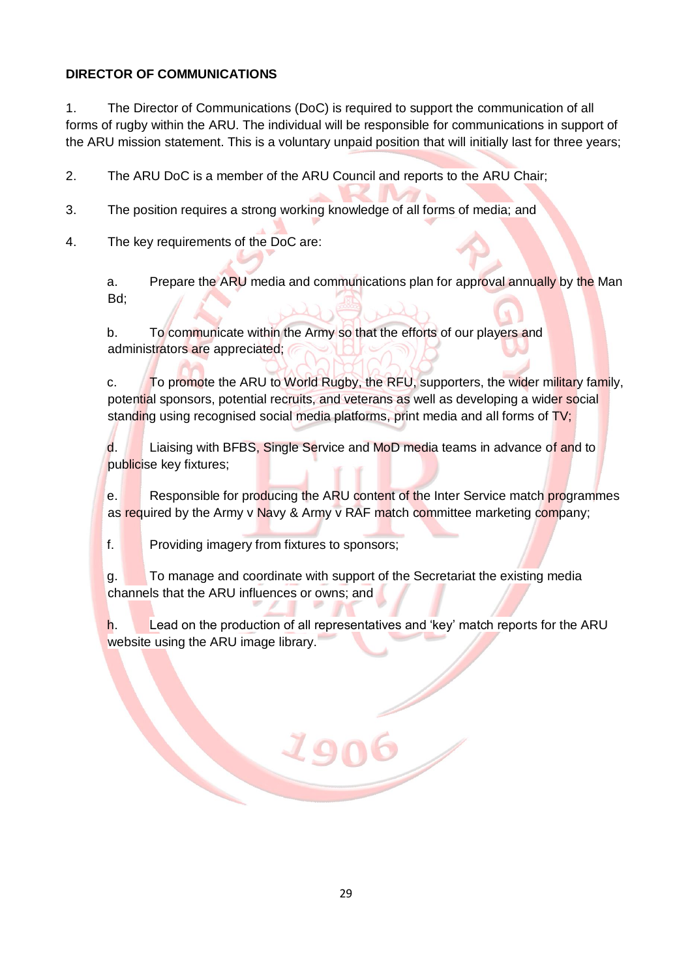### **DIRECTOR OF COMMUNICATIONS**

1. The Director of Communications (DoC) is required to support the communication of all forms of rugby within the ARU. The individual will be responsible for communications in support of the ARU mission statement. This is a voluntary unpaid position that will initially last for three years;

2. The ARU DoC is a member of the ARU Council and reports to the ARU Chair;

- 3. The position requires a strong working knowledge of all forms of media; and
- 4. The key requirements of the DoC are:

a. Prepare the ARU media and communications plan for approval annually by the Man Bd;

b. To communicate within the Army so that the efforts of our players and administrators are appreciated;

c. To promote the ARU to World Rugby, the RFU, supporters, the wider military family, potential sponsors, potential recruits, and veterans as well as developing a wider social standing using recognised social media platforms, print media and all forms of TV;

d. Liaising with BFBS, Single Service and MoD media teams in advance of and to publicise key fixtures;

e. Responsible for producing the ARU content of the Inter Service match programmes as required by the Army v Navy & Army v RAF match committee marketing company;

f. Providing imagery from fixtures to sponsors;

g. To manage and coordinate with support of the Secretariat the existing media channels that the ARU influences or owns; and

h. Lead on the production of all representatives and 'key' match reports for the ARU website using the ARU image library.

190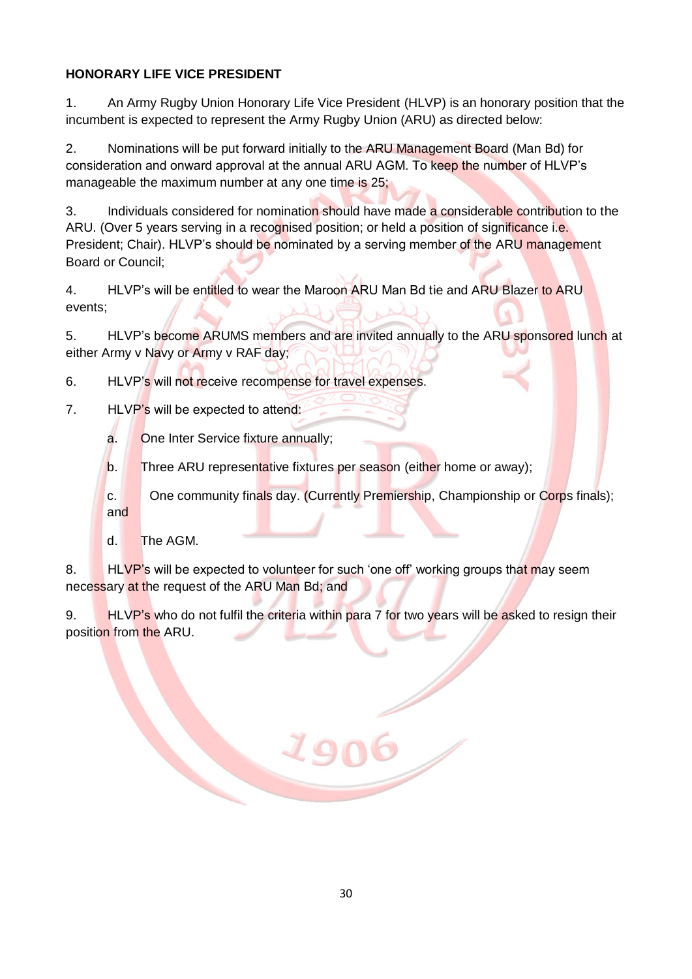# **HONORARY LIFE VICE PRESIDENT**

1. An Army Rugby Union Honorary Life Vice President (HLVP) is an honorary position that the incumbent is expected to represent the Army Rugby Union (ARU) as directed below:

2. Nominations will be put forward initially to the ARU Management Board (Man Bd) for consideration and onward approval at the annual ARU AGM. To keep the number of HLVP's manageable the maximum number at any one time is 25;

3. Individuals considered for nomination should have made a considerable contribution to the ARU. (Over 5 years serving in a recognised position; or held a position of significance i.e. President; Chair). HLVP's should be nominated by a serving member of the ARU management Board or Council;

4. HLVP's will be entitled to wear the Maroon ARU Man Bd tie and ARU Blazer to ARU events;

5. HLVP's become ARUMS members and are invited annually to the ARU sponsored lunch at either Army v Navy or Army v RAF day;

6. HLVP's will not receive recompense for travel expenses.

- 7. HLVP's will be expected to attend:
	- a. One Inter Service fixture annually;

b. Three ARU representative fixtures per season (either home or away);

c. One community finals day. (Currently Premiership, Championship or Corps finals); and

d. The AGM.

8. HLVP's will be expected to volunteer for such 'one off' working groups that may seem necessary at the request of the ARU Man Bd; and

9. HLVP's who do not fulfil the criteria within para 7 for two years will be asked to resign their position from the ARU.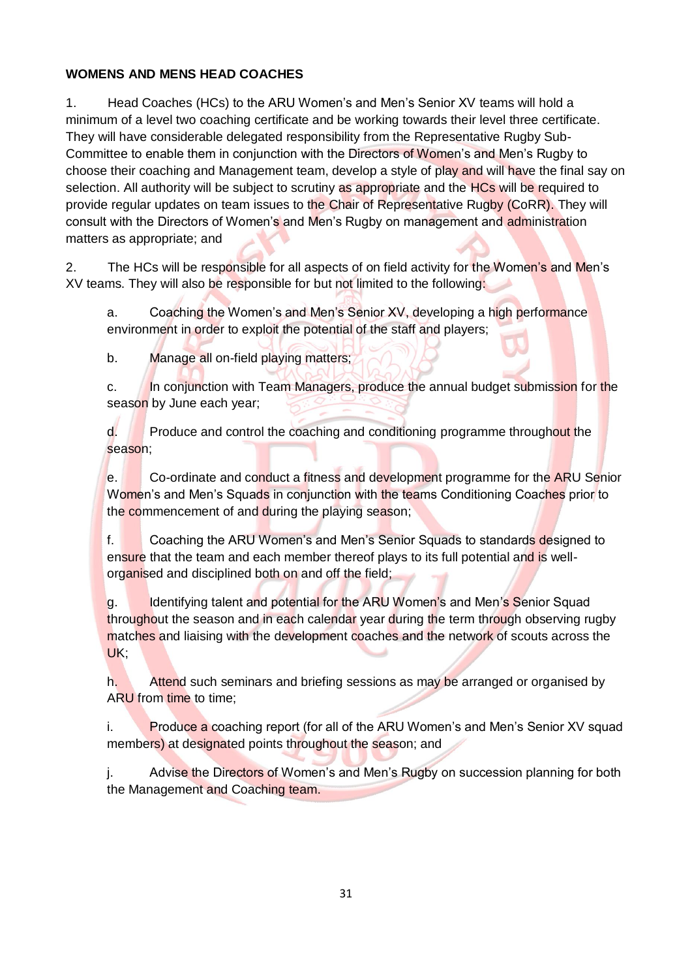## **WOMENS AND MENS HEAD COACHES**

1. Head Coaches (HCs) to the ARU Women's and Men's Senior XV teams will hold a minimum of a level two coaching certificate and be working towards their level three certificate. They will have considerable delegated responsibility from the Representative Rugby Sub-Committee to enable them in conjunction with the Directors of Women's and Men's Rugby to choose their coaching and Management team, develop a style of play and will have the final say on selection. All authority will be subject to scrutiny as appropriate and the HCs will be required to provide regular updates on team issues to the Chair of Representative Rugby (CoRR). They will consult with the Directors of Women's and Men's Rugby on management and administration matters as appropriate; and

2. The HCs will be responsible for all aspects of on field activity for the Women's and Men's XV teams. They will also be responsible for but not limited to the following:

a. Coaching the Women's and Men's Senior XV, developing a high performance environment in order to exploit the potential of the staff and players;

b. Manage all on-field playing matters;

c. In conjunction with Team Managers, produce the annual budget submission for the season by June each year;

d. Produce and control the coaching and conditioning programme throughout the season;

e. Co-ordinate and conduct a fitness and development programme for the ARU Senior Women's and Men's Squads in conjunction with the teams Conditioning Coaches prior to the commencement of and during the playing season;

f. Coaching the ARU Women's and Men's Senior Squads to standards designed to ensure that the team and each member thereof plays to its full potential and is wellorganised and disciplined both on and off the field;

g. Identifying talent and potential for the ARU Women's and Men's Senior Squad throughout the season and in each calendar year during the term through observing rugby matches and liaising with the development coaches and the network of scouts across the UK;

h. Attend such seminars and briefing sessions as may be arranged or organised by ARU from time to time:

Produce a coaching report (for all of the ARU Women's and Men's Senior XV squad members) at designated points throughout the season; and

j. Advise the Directors of Women's and Men's Rugby on succession planning for both the Management and Coaching team.